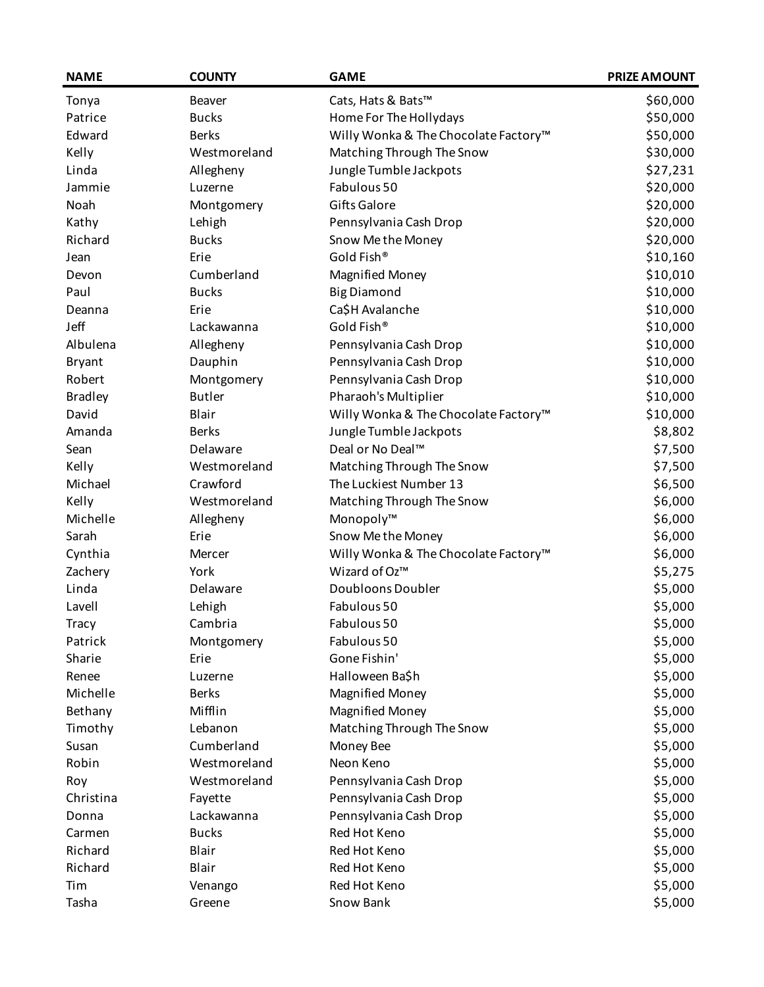| <b>NAME</b>    | <b>COUNTY</b> | <b>GAME</b>                          | <b>PRIZE AMOUNT</b> |
|----------------|---------------|--------------------------------------|---------------------|
| Tonya          | Beaver        | Cats, Hats & Bats™                   | \$60,000            |
| Patrice        | <b>Bucks</b>  | Home For The Hollydays               | \$50,000            |
| Edward         | <b>Berks</b>  | Willy Wonka & The Chocolate Factory™ | \$50,000            |
| Kelly          | Westmoreland  | Matching Through The Snow            | \$30,000            |
| Linda          | Allegheny     | Jungle Tumble Jackpots               | \$27,231            |
| Jammie         | Luzerne       | Fabulous 50                          | \$20,000            |
| Noah           | Montgomery    | <b>Gifts Galore</b>                  | \$20,000            |
| Kathy          | Lehigh        | Pennsylvania Cash Drop               | \$20,000            |
| Richard        | <b>Bucks</b>  | Snow Me the Money                    | \$20,000            |
| Jean           | Erie          | Gold Fish®                           | \$10,160            |
| Devon          | Cumberland    | <b>Magnified Money</b>               | \$10,010            |
| Paul           | <b>Bucks</b>  | <b>Big Diamond</b>                   | \$10,000            |
| Deanna         | Erie          | Ca\$H Avalanche                      | \$10,000            |
| Jeff           | Lackawanna    | Gold Fish®                           | \$10,000            |
| Albulena       | Allegheny     | Pennsylvania Cash Drop               | \$10,000            |
| <b>Bryant</b>  | Dauphin       | Pennsylvania Cash Drop               | \$10,000            |
| Robert         | Montgomery    | Pennsylvania Cash Drop               | \$10,000            |
| <b>Bradley</b> | <b>Butler</b> | Pharaoh's Multiplier                 | \$10,000            |
| David          | Blair         | Willy Wonka & The Chocolate Factory™ | \$10,000            |
| Amanda         | <b>Berks</b>  | Jungle Tumble Jackpots               | \$8,802             |
| Sean           | Delaware      | Deal or No Deal™                     | \$7,500             |
| Kelly          | Westmoreland  | Matching Through The Snow            | \$7,500             |
| Michael        | Crawford      | The Luckiest Number 13               | \$6,500             |
| Kelly          | Westmoreland  | Matching Through The Snow            | \$6,000             |
| Michelle       | Allegheny     | Monopoly™                            | \$6,000             |
| Sarah          | Erie          | Snow Me the Money                    | \$6,000             |
| Cynthia        | Mercer        | Willy Wonka & The Chocolate Factory™ | \$6,000             |
| Zachery        | York          | Wizard of Oz™                        | \$5,275             |
| Linda          | Delaware      | Doubloons Doubler                    | \$5,000             |
| Lavell         | Lehigh        | Fabulous 50                          | \$5,000             |
| <b>Tracy</b>   | Cambria       | Fabulous 50                          | \$5,000             |
| Patrick        | Montgomery    | Fabulous 50                          | \$5,000             |
| Sharie         | Erie          | Gone Fishin'                         | \$5,000             |
| Renee          | Luzerne       | Halloween Ba\$h                      | \$5,000             |
| Michelle       | <b>Berks</b>  | <b>Magnified Money</b>               | \$5,000             |
| Bethany        | Mifflin       | <b>Magnified Money</b>               | \$5,000             |
| Timothy        | Lebanon       | Matching Through The Snow            | \$5,000             |
| Susan          | Cumberland    | Money Bee                            | \$5,000             |
| Robin          | Westmoreland  | Neon Keno                            | \$5,000             |
| Roy            | Westmoreland  | Pennsylvania Cash Drop               | \$5,000             |
| Christina      | Fayette       | Pennsylvania Cash Drop               | \$5,000             |
| Donna          | Lackawanna    | Pennsylvania Cash Drop               | \$5,000             |
| Carmen         | <b>Bucks</b>  | Red Hot Keno                         | \$5,000             |
| Richard        | Blair         | Red Hot Keno                         | \$5,000             |
| Richard        | Blair         | Red Hot Keno                         | \$5,000             |
| Tim            | Venango       | Red Hot Keno                         | \$5,000             |
| Tasha          | Greene        | Snow Bank                            | \$5,000             |
|                |               |                                      |                     |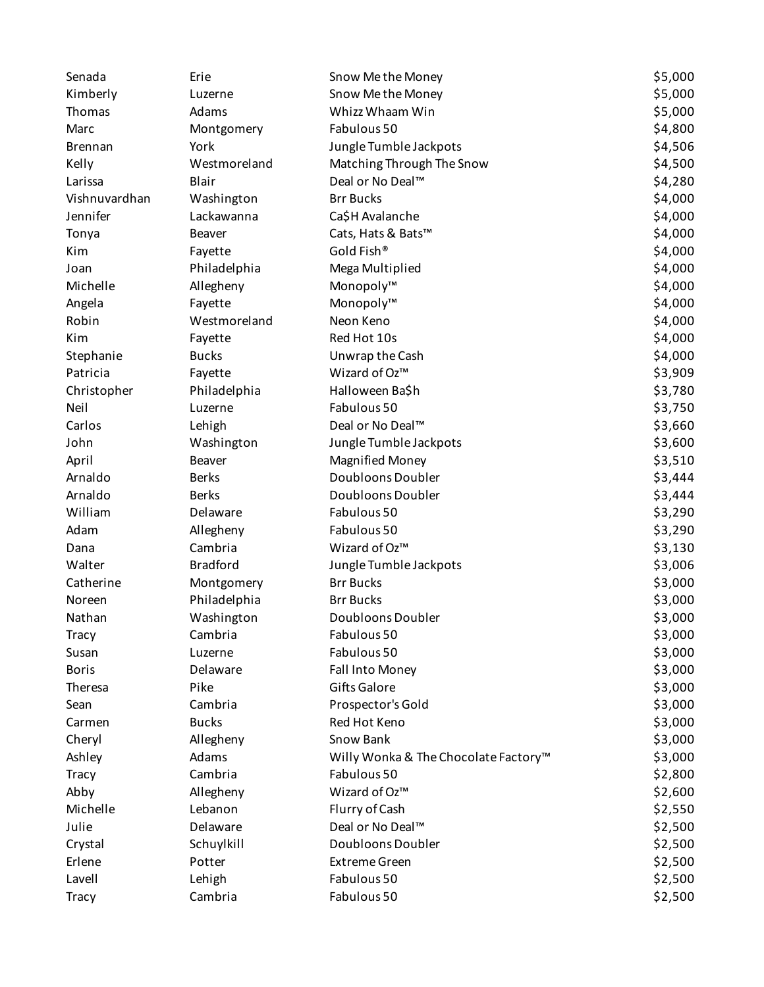| Senada         | Erie            | Snow Methe Money                     | \$5,000 |
|----------------|-----------------|--------------------------------------|---------|
| Kimberly       | Luzerne         | Snow Methe Money                     | \$5,000 |
| Thomas         | Adams           | Whizz Whaam Win                      | \$5,000 |
| Marc           | Montgomery      | Fabulous 50                          | \$4,800 |
| <b>Brennan</b> | York            | Jungle Tumble Jackpots               | \$4,506 |
| Kelly          | Westmoreland    | Matching Through The Snow            | \$4,500 |
| Larissa        | Blair           | Deal or No Deal™                     | \$4,280 |
| Vishnuvardhan  | Washington      | <b>Brr Bucks</b>                     | \$4,000 |
| Jennifer       | Lackawanna      | Ca\$H Avalanche                      | \$4,000 |
| Tonya          | Beaver          | Cats, Hats & Bats™                   | \$4,000 |
| Kim            | Fayette         | Gold Fish®                           | \$4,000 |
| Joan           | Philadelphia    | Mega Multiplied                      | \$4,000 |
| Michelle       | Allegheny       | Monopoly™                            | \$4,000 |
| Angela         | Fayette         | Monopoly™                            | \$4,000 |
| Robin          | Westmoreland    | Neon Keno                            | \$4,000 |
| Kim            | Fayette         | Red Hot 10s                          | \$4,000 |
| Stephanie      | <b>Bucks</b>    | Unwrap the Cash                      | \$4,000 |
| Patricia       | Fayette         | Wizard of Oz™                        | \$3,909 |
| Christopher    | Philadelphia    | Halloween Ba\$h                      | \$3,780 |
| Neil           | Luzerne         | Fabulous 50                          | \$3,750 |
| Carlos         | Lehigh          | Deal or No Deal™                     | \$3,660 |
| John           | Washington      | Jungle Tumble Jackpots               | \$3,600 |
| April          | Beaver          | <b>Magnified Money</b>               | \$3,510 |
| Arnaldo        | <b>Berks</b>    | Doubloons Doubler                    | \$3,444 |
| Arnaldo        | <b>Berks</b>    | Doubloons Doubler                    | \$3,444 |
| William        | Delaware        | Fabulous 50                          | \$3,290 |
| Adam           | Allegheny       | Fabulous 50                          | \$3,290 |
| Dana           | Cambria         | Wizard of Oz™                        | \$3,130 |
| Walter         | <b>Bradford</b> | Jungle Tumble Jackpots               | \$3,006 |
| Catherine      | Montgomery      | <b>Brr Bucks</b>                     | \$3,000 |
| Noreen         | Philadelphia    | <b>Brr Bucks</b>                     | \$3,000 |
| Nathan         | Washington      | Doubloons Doubler                    | \$3,000 |
| <b>Tracy</b>   | Cambria         | Fabulous 50                          | \$3,000 |
| Susan          | Luzerne         | Fabulous 50                          | \$3,000 |
| <b>Boris</b>   | Delaware        | Fall Into Money                      | \$3,000 |
| Theresa        | Pike            | <b>Gifts Galore</b>                  | \$3,000 |
| Sean           | Cambria         | Prospector's Gold                    | \$3,000 |
| Carmen         | <b>Bucks</b>    | Red Hot Keno                         | \$3,000 |
| Cheryl         | Allegheny       | Snow Bank                            | \$3,000 |
| Ashley         | Adams           | Willy Wonka & The Chocolate Factory™ | \$3,000 |
| <b>Tracy</b>   | Cambria         | Fabulous 50                          | \$2,800 |
| Abby           | Allegheny       | Wizard of Oz™                        | \$2,600 |
| Michelle       | Lebanon         | Flurry of Cash                       | \$2,550 |
| Julie          | Delaware        | Deal or No Deal™                     | \$2,500 |
| Crystal        | Schuylkill      | Doubloons Doubler                    | \$2,500 |
| Erlene         | Potter          | <b>Extreme Green</b>                 | \$2,500 |
| Lavell         | Lehigh          | Fabulous 50                          | \$2,500 |
| Tracy          | Cambria         | Fabulous 50                          | \$2,500 |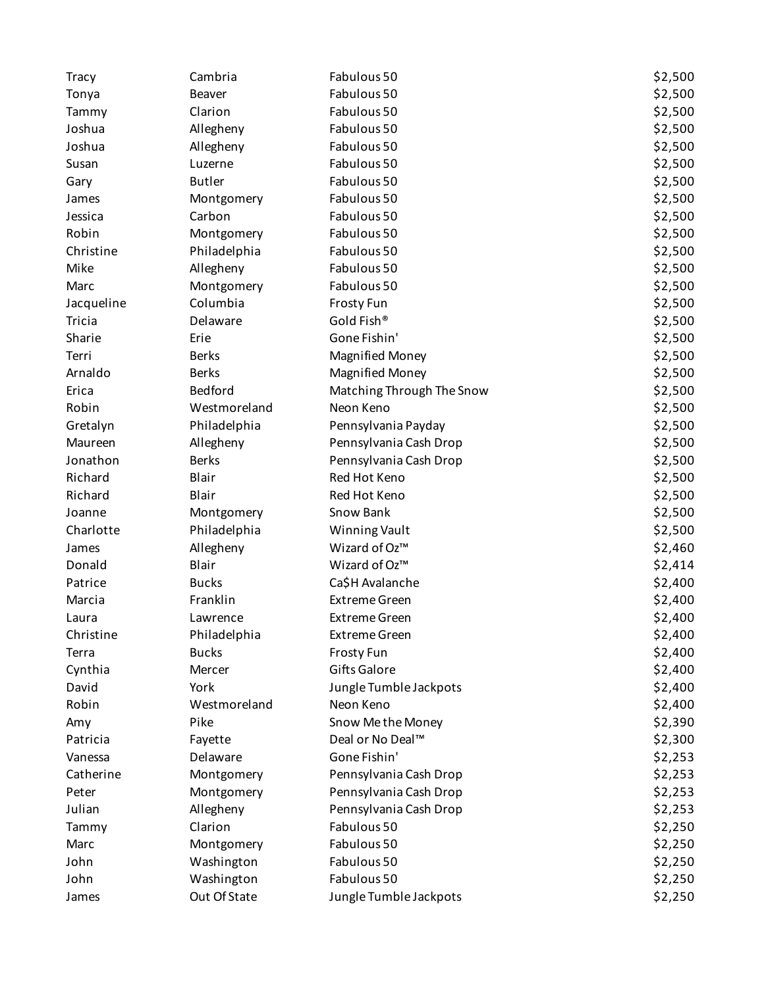| <b>Tracy</b>  | Cambria       | Fabulous 50               | \$2,500 |
|---------------|---------------|---------------------------|---------|
| Tonya         | Beaver        | Fabulous 50               | \$2,500 |
| Tammy         | Clarion       | Fabulous 50               | \$2,500 |
| Joshua        | Allegheny     | Fabulous 50               | \$2,500 |
| Joshua        | Allegheny     | Fabulous 50               | \$2,500 |
| Susan         | Luzerne       | Fabulous 50               | \$2,500 |
| Gary          | <b>Butler</b> | Fabulous 50               | \$2,500 |
| James         | Montgomery    | Fabulous 50               | \$2,500 |
| Jessica       | Carbon        | Fabulous 50               | \$2,500 |
| Robin         | Montgomery    | Fabulous 50               | \$2,500 |
| Christine     | Philadelphia  | Fabulous 50               | \$2,500 |
| Mike          | Allegheny     | Fabulous 50               | \$2,500 |
| Marc          | Montgomery    | Fabulous 50               | \$2,500 |
| Jacqueline    | Columbia      | <b>Frosty Fun</b>         | \$2,500 |
| <b>Tricia</b> | Delaware      | Gold Fish®                | \$2,500 |
| Sharie        | Erie          | Gone Fishin'              | \$2,500 |
| Terri         | <b>Berks</b>  | <b>Magnified Money</b>    | \$2,500 |
| Arnaldo       | <b>Berks</b>  | <b>Magnified Money</b>    | \$2,500 |
| Erica         | Bedford       | Matching Through The Snow | \$2,500 |
| Robin         | Westmoreland  | Neon Keno                 | \$2,500 |
| Gretalyn      | Philadelphia  | Pennsylvania Payday       | \$2,500 |
| Maureen       | Allegheny     | Pennsylvania Cash Drop    | \$2,500 |
| Jonathon      | <b>Berks</b>  | Pennsylvania Cash Drop    | \$2,500 |
| Richard       | Blair         | Red Hot Keno              | \$2,500 |
| Richard       | Blair         | Red Hot Keno              | \$2,500 |
| Joanne        | Montgomery    | Snow Bank                 | \$2,500 |
| Charlotte     | Philadelphia  | Winning Vault             | \$2,500 |
| James         | Allegheny     | Wizard of Oz™             | \$2,460 |
| Donald        | Blair         | Wizard of Oz™             | \$2,414 |
| Patrice       | <b>Bucks</b>  | Ca\$H Avalanche           | \$2,400 |
| Marcia        | Franklin      | <b>Extreme Green</b>      | \$2,400 |
| Laura         | Lawrence      | <b>Extreme Green</b>      | \$2,400 |
| Christine     | Philadelphia  | <b>Extreme Green</b>      | \$2,400 |
| Terra         | <b>Bucks</b>  | <b>Frosty Fun</b>         | \$2,400 |
| Cynthia       | Mercer        | Gifts Galore              | \$2,400 |
| David         | York          | Jungle Tumble Jackpots    | \$2,400 |
| Robin         | Westmoreland  | Neon Keno                 | \$2,400 |
| Amy           | Pike          | Snow Me the Money         | \$2,390 |
| Patricia      | Fayette       | Deal or No Deal™          | \$2,300 |
| Vanessa       | Delaware      | Gone Fishin'              | \$2,253 |
| Catherine     | Montgomery    | Pennsylvania Cash Drop    | \$2,253 |
| Peter         | Montgomery    | Pennsylvania Cash Drop    | \$2,253 |
| Julian        | Allegheny     | Pennsylvania Cash Drop    | \$2,253 |
| Tammy         | Clarion       | Fabulous 50               | \$2,250 |
| Marc          | Montgomery    | Fabulous 50               | \$2,250 |
| John          | Washington    | Fabulous 50               | \$2,250 |
| John          | Washington    | Fabulous 50               | \$2,250 |
| James         | Out Of State  | Jungle Tumble Jackpots    | \$2,250 |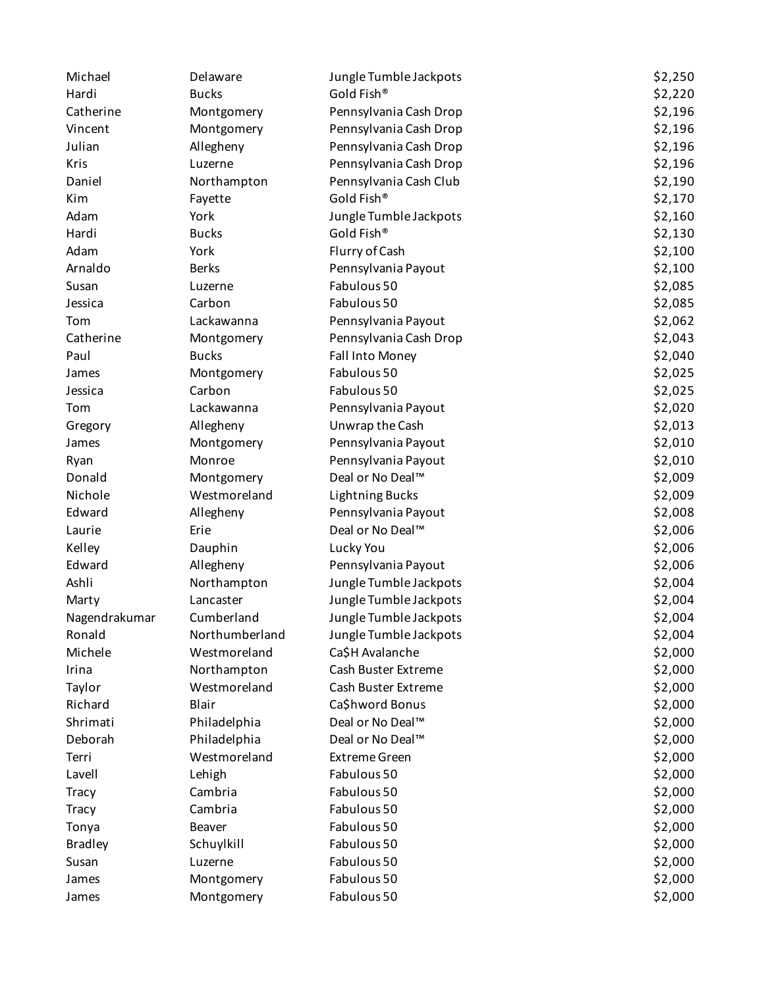| Michael        | Delaware       | Jungle Tumble Jackpots | \$2,250 |
|----------------|----------------|------------------------|---------|
| Hardi          | <b>Bucks</b>   | Gold Fish®             | \$2,220 |
| Catherine      | Montgomery     | Pennsylvania Cash Drop | \$2,196 |
| Vincent        | Montgomery     | Pennsylvania Cash Drop | \$2,196 |
| Julian         | Allegheny      | Pennsylvania Cash Drop | \$2,196 |
| Kris           | Luzerne        | Pennsylvania Cash Drop | \$2,196 |
| Daniel         | Northampton    | Pennsylvania Cash Club | \$2,190 |
| Kim            | Fayette        | Gold Fish®             | \$2,170 |
| Adam           | York           | Jungle Tumble Jackpots | \$2,160 |
| Hardi          | <b>Bucks</b>   | Gold Fish®             | \$2,130 |
| Adam           | York           | Flurry of Cash         | \$2,100 |
| Arnaldo        | <b>Berks</b>   | Pennsylvania Payout    | \$2,100 |
| Susan          | Luzerne        | Fabulous 50            | \$2,085 |
| Jessica        | Carbon         | Fabulous 50            | \$2,085 |
| Tom            | Lackawanna     | Pennsylvania Payout    | \$2,062 |
| Catherine      | Montgomery     | Pennsylvania Cash Drop | \$2,043 |
| Paul           | <b>Bucks</b>   | Fall Into Money        | \$2,040 |
| James          | Montgomery     | Fabulous 50            | \$2,025 |
| Jessica        | Carbon         | Fabulous 50            | \$2,025 |
| Tom            | Lackawanna     | Pennsylvania Payout    | \$2,020 |
| Gregory        | Allegheny      | Unwrap the Cash        | \$2,013 |
| James          | Montgomery     | Pennsylvania Payout    | \$2,010 |
| Ryan           | Monroe         | Pennsylvania Payout    | \$2,010 |
| Donald         | Montgomery     | Deal or No Deal™       | \$2,009 |
| Nichole        | Westmoreland   | <b>Lightning Bucks</b> | \$2,009 |
| Edward         | Allegheny      | Pennsylvania Payout    | \$2,008 |
| Laurie         | Erie           | Deal or No Deal™       | \$2,006 |
| Kelley         | Dauphin        | Lucky You              | \$2,006 |
| Edward         | Allegheny      | Pennsylvania Payout    | \$2,006 |
| Ashli          | Northampton    | Jungle Tumble Jackpots | \$2,004 |
| Marty          | Lancaster      | Jungle Tumble Jackpots | \$2,004 |
| Nagendrakumar  | Cumberland     | Jungle Tumble Jackpots | \$2,004 |
| Ronald         | Northumberland | Jungle Tumble Jackpots | \$2,004 |
| Michele        | Westmoreland   | Ca\$H Avalanche        | \$2,000 |
| Irina          | Northampton    | Cash Buster Extreme    | \$2,000 |
| Taylor         | Westmoreland   | Cash Buster Extreme    | \$2,000 |
| Richard        | Blair          | Ca\$hword Bonus        | \$2,000 |
| Shrimati       | Philadelphia   | Deal or No Deal™       | \$2,000 |
| Deborah        | Philadelphia   | Deal or No Deal™       | \$2,000 |
| Terri          | Westmoreland   | <b>Extreme Green</b>   | \$2,000 |
| Lavell         | Lehigh         | Fabulous 50            | \$2,000 |
| <b>Tracy</b>   | Cambria        | Fabulous 50            | \$2,000 |
| <b>Tracy</b>   | Cambria        | Fabulous 50            | \$2,000 |
| Tonya          | Beaver         | Fabulous 50            | \$2,000 |
| <b>Bradley</b> | Schuylkill     | Fabulous 50            | \$2,000 |
| Susan          | Luzerne        | Fabulous 50            | \$2,000 |
| James          | Montgomery     | Fabulous 50            | \$2,000 |
| James          | Montgomery     | Fabulous 50            | \$2,000 |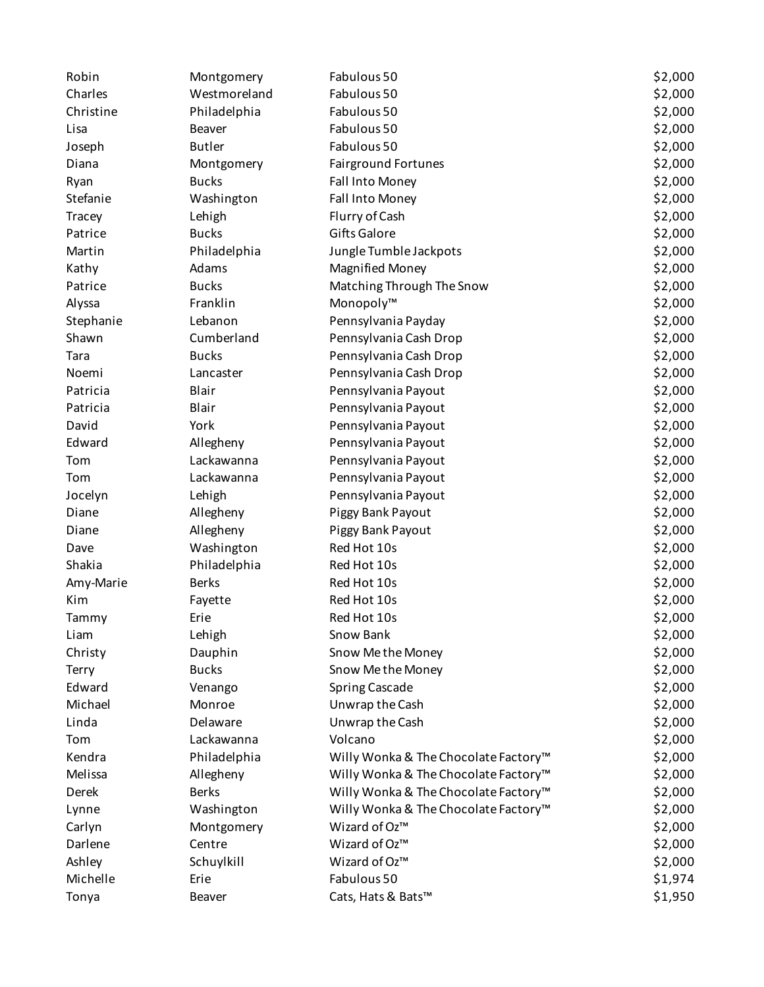| Robin     | Montgomery    | Fabulous 50                          | \$2,000 |
|-----------|---------------|--------------------------------------|---------|
| Charles   | Westmoreland  | Fabulous 50                          | \$2,000 |
| Christine | Philadelphia  | Fabulous 50                          | \$2,000 |
| Lisa      | Beaver        | Fabulous 50                          | \$2,000 |
| Joseph    | <b>Butler</b> | Fabulous 50                          | \$2,000 |
| Diana     | Montgomery    | <b>Fairground Fortunes</b>           | \$2,000 |
| Ryan      | <b>Bucks</b>  | Fall Into Money                      | \$2,000 |
| Stefanie  | Washington    | Fall Into Money                      | \$2,000 |
| Tracey    | Lehigh        | Flurry of Cash                       | \$2,000 |
| Patrice   | <b>Bucks</b>  | Gifts Galore                         | \$2,000 |
| Martin    | Philadelphia  | Jungle Tumble Jackpots               | \$2,000 |
| Kathy     | Adams         | <b>Magnified Money</b>               | \$2,000 |
| Patrice   | <b>Bucks</b>  | Matching Through The Snow            | \$2,000 |
| Alyssa    | Franklin      | Monopoly™                            | \$2,000 |
| Stephanie | Lebanon       | Pennsylvania Payday                  | \$2,000 |
| Shawn     | Cumberland    | Pennsylvania Cash Drop               | \$2,000 |
| Tara      | <b>Bucks</b>  | Pennsylvania Cash Drop               | \$2,000 |
| Noemi     | Lancaster     | Pennsylvania Cash Drop               | \$2,000 |
| Patricia  | Blair         | Pennsylvania Payout                  | \$2,000 |
| Patricia  | Blair         | Pennsylvania Payout                  | \$2,000 |
| David     | York          | Pennsylvania Payout                  | \$2,000 |
| Edward    | Allegheny     | Pennsylvania Payout                  | \$2,000 |
| Tom       | Lackawanna    | Pennsylvania Payout                  | \$2,000 |
| Tom       | Lackawanna    | Pennsylvania Payout                  | \$2,000 |
| Jocelyn   | Lehigh        | Pennsylvania Payout                  | \$2,000 |
| Diane     | Allegheny     | Piggy Bank Payout                    | \$2,000 |
| Diane     | Allegheny     | Piggy Bank Payout                    | \$2,000 |
| Dave      | Washington    | Red Hot 10s                          | \$2,000 |
| Shakia    | Philadelphia  | Red Hot 10s                          | \$2,000 |
| Amy-Marie | <b>Berks</b>  | Red Hot 10s                          | \$2,000 |
| Kim       | Fayette       | Red Hot 10s                          | \$2,000 |
| Tammy     | Erie          | Red Hot 10s                          | \$2,000 |
| Liam      | Lehigh        | Snow Bank                            | \$2,000 |
| Christy   | Dauphin       | Snow Me the Money                    | \$2,000 |
| Terry     | <b>Bucks</b>  | Snow Me the Money                    | \$2,000 |
| Edward    | Venango       | <b>Spring Cascade</b>                | \$2,000 |
| Michael   | Monroe        | Unwrap the Cash                      | \$2,000 |
| Linda     | Delaware      | Unwrap the Cash                      | \$2,000 |
| Tom       | Lackawanna    | Volcano                              | \$2,000 |
| Kendra    | Philadelphia  | Willy Wonka & The Chocolate Factory™ | \$2,000 |
| Melissa   | Allegheny     | Willy Wonka & The Chocolate Factory™ | \$2,000 |
| Derek     | <b>Berks</b>  | Willy Wonka & The Chocolate Factory™ | \$2,000 |
| Lynne     | Washington    | Willy Wonka & The Chocolate Factory™ | \$2,000 |
| Carlyn    | Montgomery    | Wizard of Oz™                        | \$2,000 |
| Darlene   | Centre        | Wizard of Oz™                        | \$2,000 |
| Ashley    | Schuylkill    | Wizard of Oz™                        | \$2,000 |
| Michelle  | Erie          | Fabulous 50                          | \$1,974 |
| Tonya     | Beaver        | Cats, Hats & Bats™                   | \$1,950 |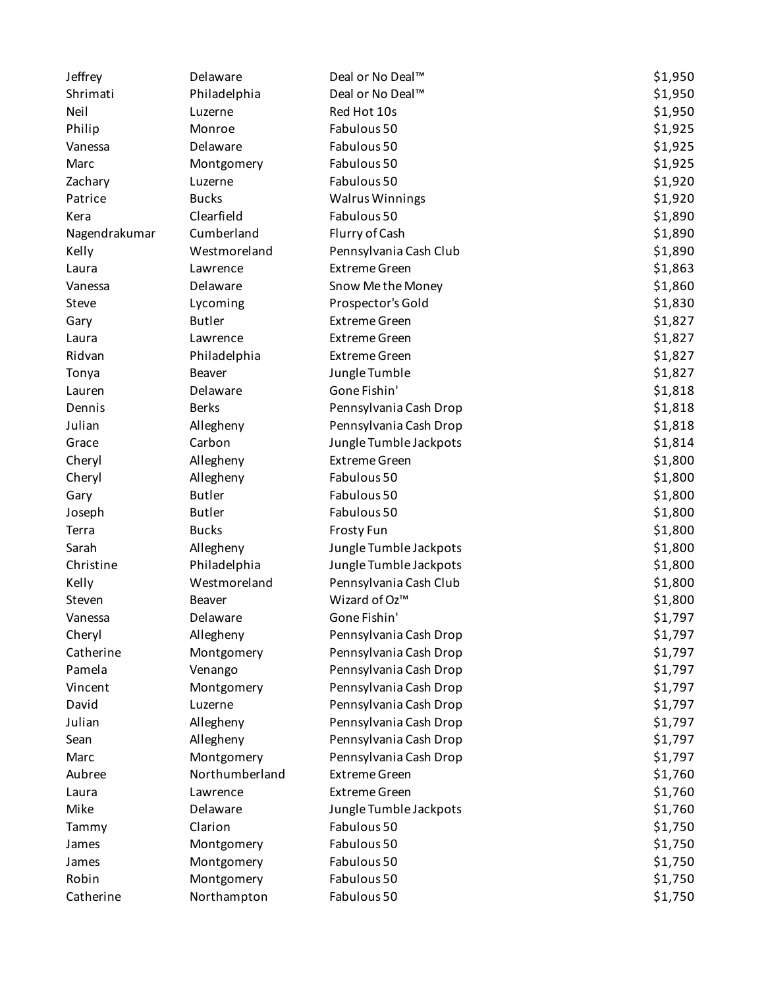| Jeffrey       | Delaware       | Deal or No Deal™       | \$1,950 |
|---------------|----------------|------------------------|---------|
| Shrimati      | Philadelphia   | Deal or No Deal™       | \$1,950 |
| Neil          | Luzerne        | Red Hot 10s            | \$1,950 |
| Philip        | Monroe         | Fabulous 50            | \$1,925 |
| Vanessa       | Delaware       | Fabulous 50            | \$1,925 |
| Marc          | Montgomery     | Fabulous 50            | \$1,925 |
| Zachary       | Luzerne        | Fabulous 50            | \$1,920 |
| Patrice       | <b>Bucks</b>   | <b>Walrus Winnings</b> | \$1,920 |
| Kera          | Clearfield     | Fabulous 50            | \$1,890 |
| Nagendrakumar | Cumberland     | Flurry of Cash         | \$1,890 |
| Kelly         | Westmoreland   | Pennsylvania Cash Club | \$1,890 |
| Laura         | Lawrence       | <b>Extreme Green</b>   | \$1,863 |
| Vanessa       | Delaware       | Snow Me the Money      | \$1,860 |
| Steve         | Lycoming       | Prospector's Gold      | \$1,830 |
| Gary          | <b>Butler</b>  | <b>Extreme Green</b>   | \$1,827 |
| Laura         | Lawrence       | <b>Extreme Green</b>   | \$1,827 |
| Ridvan        | Philadelphia   | <b>Extreme Green</b>   | \$1,827 |
| Tonya         | Beaver         | Jungle Tumble          | \$1,827 |
| Lauren        | Delaware       | Gone Fishin'           | \$1,818 |
| Dennis        | <b>Berks</b>   | Pennsylvania Cash Drop | \$1,818 |
| Julian        | Allegheny      | Pennsylvania Cash Drop | \$1,818 |
| Grace         | Carbon         | Jungle Tumble Jackpots | \$1,814 |
| Cheryl        | Allegheny      | <b>Extreme Green</b>   | \$1,800 |
| Cheryl        | Allegheny      | Fabulous 50            | \$1,800 |
| Gary          | <b>Butler</b>  | Fabulous 50            | \$1,800 |
| Joseph        | <b>Butler</b>  | Fabulous 50            | \$1,800 |
| Terra         | <b>Bucks</b>   | <b>Frosty Fun</b>      | \$1,800 |
| Sarah         | Allegheny      | Jungle Tumble Jackpots | \$1,800 |
| Christine     | Philadelphia   | Jungle Tumble Jackpots | \$1,800 |
| Kelly         | Westmoreland   | Pennsylvania Cash Club | \$1,800 |
| Steven        | <b>Beaver</b>  | Wizard of Oz™          | \$1,800 |
| Vanessa       | Delaware       | Gone Fishin'           | \$1,797 |
| Cheryl        | Allegheny      | Pennsylvania Cash Drop | \$1,797 |
| Catherine     | Montgomery     | Pennsylvania Cash Drop | \$1,797 |
| Pamela        | Venango        | Pennsylvania Cash Drop | \$1,797 |
| Vincent       | Montgomery     | Pennsylvania Cash Drop | \$1,797 |
| David         | Luzerne        | Pennsylvania Cash Drop | \$1,797 |
| Julian        | Allegheny      | Pennsylvania Cash Drop | \$1,797 |
| Sean          | Allegheny      | Pennsylvania Cash Drop | \$1,797 |
| Marc          | Montgomery     | Pennsylvania Cash Drop | \$1,797 |
| Aubree        | Northumberland | <b>Extreme Green</b>   | \$1,760 |
| Laura         | Lawrence       | <b>Extreme Green</b>   | \$1,760 |
| Mike          | Delaware       | Jungle Tumble Jackpots | \$1,760 |
| Tammy         | Clarion        | Fabulous 50            | \$1,750 |
| James         | Montgomery     | Fabulous 50            | \$1,750 |
| James         | Montgomery     | Fabulous 50            | \$1,750 |
| Robin         | Montgomery     | Fabulous 50            | \$1,750 |
| Catherine     | Northampton    | Fabulous 50            | \$1,750 |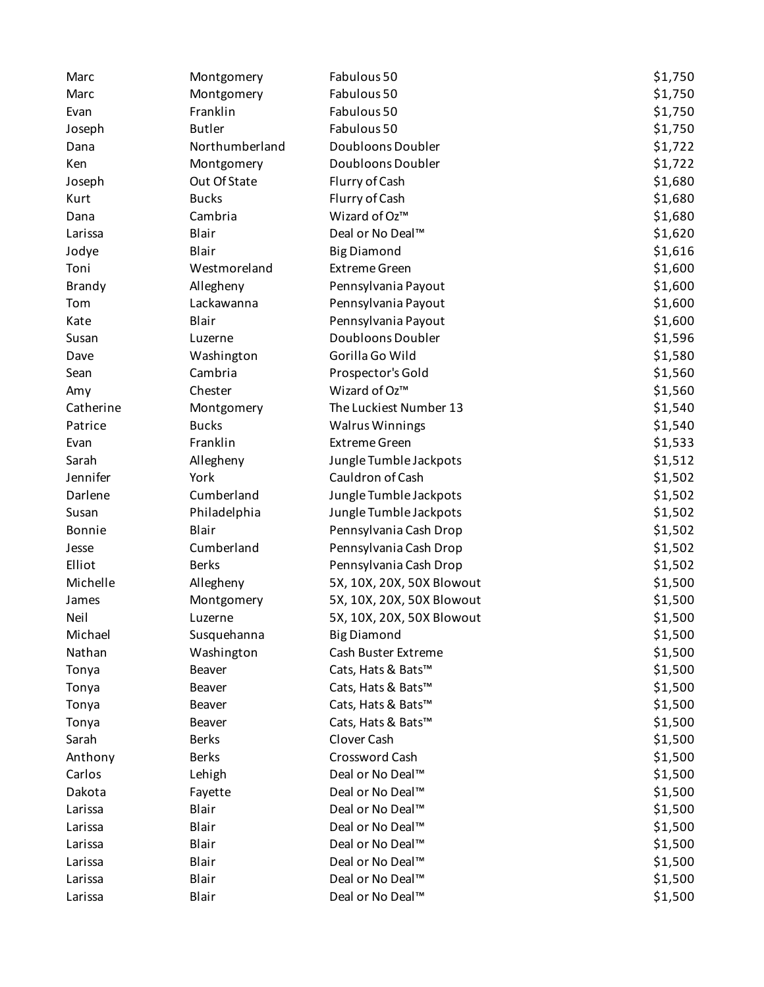| Marc          | Montgomery     | Fabulous 50               | \$1,750 |
|---------------|----------------|---------------------------|---------|
| Marc          | Montgomery     | Fabulous 50               | \$1,750 |
| Evan          | Franklin       | Fabulous 50               | \$1,750 |
| Joseph        | <b>Butler</b>  | Fabulous 50               | \$1,750 |
| Dana          | Northumberland | Doubloons Doubler         | \$1,722 |
| Ken           | Montgomery     | Doubloons Doubler         | \$1,722 |
| Joseph        | Out Of State   | Flurry of Cash            | \$1,680 |
| Kurt          | <b>Bucks</b>   | Flurry of Cash            | \$1,680 |
| Dana          | Cambria        | Wizard of Oz™             | \$1,680 |
| Larissa       | Blair          | Deal or No Deal™          | \$1,620 |
| Jodye         | Blair          | <b>Big Diamond</b>        | \$1,616 |
| Toni          | Westmoreland   | <b>Extreme Green</b>      | \$1,600 |
| Brandy        | Allegheny      | Pennsylvania Payout       | \$1,600 |
| Tom           | Lackawanna     | Pennsylvania Payout       | \$1,600 |
| Kate          | Blair          | Pennsylvania Payout       | \$1,600 |
| Susan         | Luzerne        | Doubloons Doubler         | \$1,596 |
| Dave          | Washington     | Gorilla Go Wild           | \$1,580 |
| Sean          | Cambria        | Prospector's Gold         | \$1,560 |
| Amy           | Chester        | Wizard of Oz™             | \$1,560 |
| Catherine     | Montgomery     | The Luckiest Number 13    | \$1,540 |
| Patrice       | <b>Bucks</b>   | <b>Walrus Winnings</b>    | \$1,540 |
| Evan          | Franklin       | <b>Extreme Green</b>      | \$1,533 |
| Sarah         | Allegheny      | Jungle Tumble Jackpots    | \$1,512 |
| Jennifer      | York           | Cauldron of Cash          | \$1,502 |
| Darlene       | Cumberland     | Jungle Tumble Jackpots    | \$1,502 |
| Susan         | Philadelphia   | Jungle Tumble Jackpots    | \$1,502 |
| <b>Bonnie</b> | Blair          | Pennsylvania Cash Drop    | \$1,502 |
| Jesse         | Cumberland     | Pennsylvania Cash Drop    | \$1,502 |
| Elliot        | <b>Berks</b>   | Pennsylvania Cash Drop    | \$1,502 |
| Michelle      | Allegheny      | 5X, 10X, 20X, 50X Blowout | \$1,500 |
| James         | Montgomery     | 5X, 10X, 20X, 50X Blowout | \$1,500 |
| Neil          | Luzerne        | 5X, 10X, 20X, 50X Blowout | \$1,500 |
| Michael       | Susquehanna    | <b>Big Diamond</b>        | \$1,500 |
| Nathan        | Washington     | Cash Buster Extreme       | \$1,500 |
| Tonya         | Beaver         | Cats, Hats & Bats™        | \$1,500 |
| Tonya         | Beaver         | Cats, Hats & Bats™        | \$1,500 |
| Tonya         | Beaver         | Cats, Hats & Bats™        | \$1,500 |
| Tonya         | Beaver         | Cats, Hats & Bats™        | \$1,500 |
| Sarah         | <b>Berks</b>   | Clover Cash               | \$1,500 |
| Anthony       | <b>Berks</b>   | Crossword Cash            | \$1,500 |
| Carlos        | Lehigh         | Deal or No Deal™          | \$1,500 |
| Dakota        | Fayette        | Deal or No Deal™          | \$1,500 |
| Larissa       | Blair          | Deal or No Deal™          | \$1,500 |
| Larissa       | Blair          | Deal or No Deal™          | \$1,500 |
| Larissa       | Blair          | Deal or No Deal™          | \$1,500 |
| Larissa       | Blair          | Deal or No Deal™          | \$1,500 |
| Larissa       | Blair          | Deal or No Deal™          | \$1,500 |
| Larissa       | Blair          | Deal or No Deal™          | \$1,500 |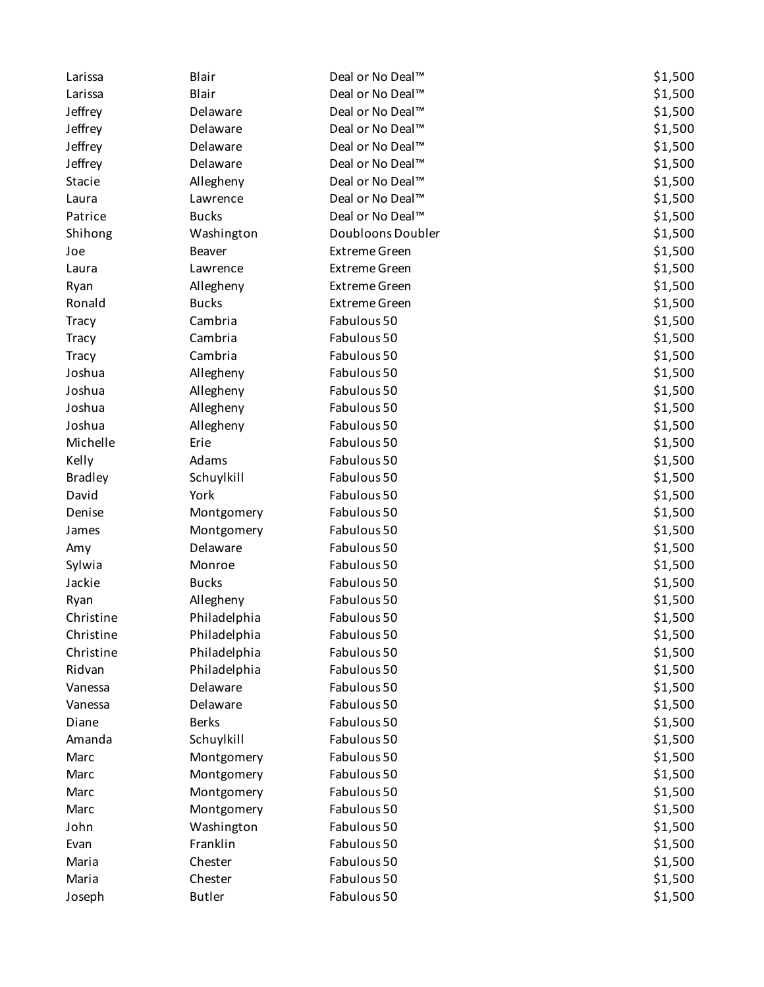| Larissa        | Blair         | Deal or No Deal™     | \$1,500 |
|----------------|---------------|----------------------|---------|
| Larissa        | Blair         | Deal or No Deal™     | \$1,500 |
| Jeffrey        | Delaware      | Deal or No Deal™     | \$1,500 |
| Jeffrey        | Delaware      | Deal or No Deal™     | \$1,500 |
| Jeffrey        | Delaware      | Deal or No Deal™     | \$1,500 |
| Jeffrey        | Delaware      | Deal or No Deal™     | \$1,500 |
| Stacie         | Allegheny     | Deal or No Deal™     | \$1,500 |
| Laura          | Lawrence      | Deal or No Deal™     | \$1,500 |
| Patrice        | <b>Bucks</b>  | Deal or No Deal™     | \$1,500 |
| Shihong        | Washington    | Doubloons Doubler    | \$1,500 |
| Joe            | Beaver        | <b>Extreme Green</b> | \$1,500 |
| Laura          | Lawrence      | <b>Extreme Green</b> | \$1,500 |
| Ryan           | Allegheny     | <b>Extreme Green</b> | \$1,500 |
| Ronald         | <b>Bucks</b>  | <b>Extreme Green</b> | \$1,500 |
| <b>Tracy</b>   | Cambria       | Fabulous 50          | \$1,500 |
| <b>Tracy</b>   | Cambria       | Fabulous 50          | \$1,500 |
| <b>Tracy</b>   | Cambria       | Fabulous 50          | \$1,500 |
| Joshua         | Allegheny     | Fabulous 50          | \$1,500 |
| Joshua         | Allegheny     | Fabulous 50          | \$1,500 |
| Joshua         | Allegheny     | Fabulous 50          | \$1,500 |
| Joshua         | Allegheny     | Fabulous 50          | \$1,500 |
| Michelle       | Erie          | Fabulous 50          | \$1,500 |
| Kelly          | Adams         | Fabulous 50          | \$1,500 |
| <b>Bradley</b> | Schuylkill    | Fabulous 50          | \$1,500 |
| David          | York          | Fabulous 50          | \$1,500 |
| Denise         | Montgomery    | Fabulous 50          | \$1,500 |
| James          | Montgomery    | Fabulous 50          | \$1,500 |
| Amy            | Delaware      | Fabulous 50          | \$1,500 |
| Sylwia         | Monroe        | Fabulous 50          | \$1,500 |
| Jackie         | <b>Bucks</b>  | Fabulous 50          | \$1,500 |
| Ryan           | Allegheny     | Fabulous 50          | \$1,500 |
| Christine      | Philadelphia  | Fabulous 50          | \$1,500 |
| Christine      | Philadelphia  | Fabulous 50          | \$1,500 |
| Christine      | Philadelphia  | Fabulous 50          | \$1,500 |
| Ridvan         | Philadelphia  | Fabulous 50          | \$1,500 |
| Vanessa        | Delaware      | Fabulous 50          | \$1,500 |
| Vanessa        | Delaware      | Fabulous 50          | \$1,500 |
| Diane          | <b>Berks</b>  | Fabulous 50          | \$1,500 |
| Amanda         | Schuylkill    | Fabulous 50          | \$1,500 |
| Marc           | Montgomery    | Fabulous 50          | \$1,500 |
| Marc           | Montgomery    | Fabulous 50          | \$1,500 |
| Marc           | Montgomery    | Fabulous 50          | \$1,500 |
| Marc           | Montgomery    | Fabulous 50          | \$1,500 |
| John           | Washington    | Fabulous 50          | \$1,500 |
| Evan           | Franklin      | Fabulous 50          | \$1,500 |
| Maria          | Chester       | Fabulous 50          | \$1,500 |
| Maria          | Chester       | Fabulous 50          | \$1,500 |
| Joseph         | <b>Butler</b> | Fabulous 50          | \$1,500 |
|                |               |                      |         |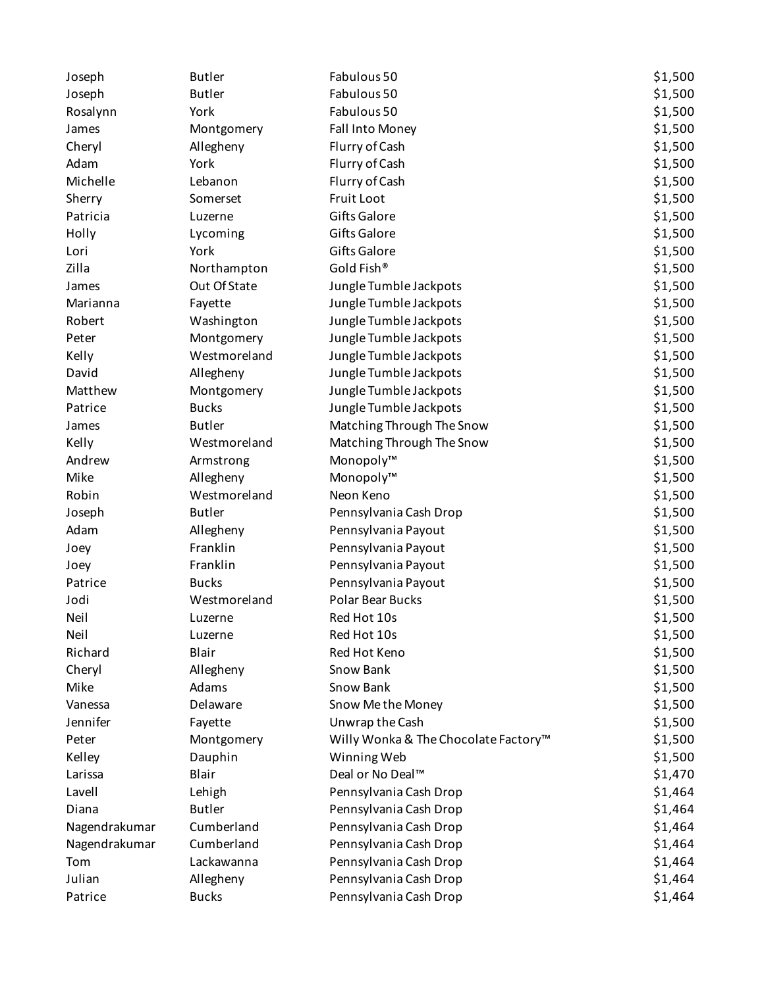| Joseph        | <b>Butler</b> | Fabulous 50                          | \$1,500 |
|---------------|---------------|--------------------------------------|---------|
| Joseph        | <b>Butler</b> | Fabulous 50                          | \$1,500 |
| Rosalynn      | York          | Fabulous 50                          | \$1,500 |
| James         | Montgomery    | Fall Into Money                      | \$1,500 |
| Cheryl        | Allegheny     | Flurry of Cash                       | \$1,500 |
| Adam          | York          | Flurry of Cash                       | \$1,500 |
| Michelle      | Lebanon       | Flurry of Cash                       | \$1,500 |
| Sherry        | Somerset      | Fruit Loot                           | \$1,500 |
| Patricia      | Luzerne       | Gifts Galore                         | \$1,500 |
| Holly         | Lycoming      | Gifts Galore                         | \$1,500 |
| Lori          | York          | Gifts Galore                         | \$1,500 |
| Zilla         | Northampton   | Gold Fish®                           | \$1,500 |
| James         | Out Of State  | Jungle Tumble Jackpots               | \$1,500 |
| Marianna      | Fayette       | Jungle Tumble Jackpots               | \$1,500 |
| Robert        | Washington    | Jungle Tumble Jackpots               | \$1,500 |
| Peter         | Montgomery    | Jungle Tumble Jackpots               | \$1,500 |
| Kelly         | Westmoreland  | Jungle Tumble Jackpots               | \$1,500 |
| David         | Allegheny     | Jungle Tumble Jackpots               | \$1,500 |
| Matthew       | Montgomery    | Jungle Tumble Jackpots               | \$1,500 |
| Patrice       | <b>Bucks</b>  | Jungle Tumble Jackpots               | \$1,500 |
| James         | <b>Butler</b> | Matching Through The Snow            | \$1,500 |
| Kelly         | Westmoreland  | Matching Through The Snow            | \$1,500 |
| Andrew        | Armstrong     | Monopoly™                            | \$1,500 |
| Mike          | Allegheny     | Monopoly™                            | \$1,500 |
| Robin         | Westmoreland  | Neon Keno                            | \$1,500 |
| Joseph        | <b>Butler</b> | Pennsylvania Cash Drop               | \$1,500 |
| Adam          | Allegheny     | Pennsylvania Payout                  | \$1,500 |
| Joey          | Franklin      | Pennsylvania Payout                  | \$1,500 |
| Joey          | Franklin      | Pennsylvania Payout                  | \$1,500 |
| Patrice       | <b>Bucks</b>  | Pennsylvania Payout                  | \$1,500 |
| Jodi          | Westmoreland  | <b>Polar Bear Bucks</b>              | \$1,500 |
| Neil          | Luzerne       | Red Hot 10s                          | \$1,500 |
| Neil          | Luzerne       | Red Hot 10s                          | \$1,500 |
| Richard       | Blair         | Red Hot Keno                         | \$1,500 |
| Cheryl        | Allegheny     | Snow Bank                            | \$1,500 |
| Mike          | Adams         | Snow Bank                            | \$1,500 |
| Vanessa       | Delaware      | Snow Me the Money                    | \$1,500 |
| Jennifer      | Fayette       | Unwrap the Cash                      | \$1,500 |
| Peter         | Montgomery    | Willy Wonka & The Chocolate Factory™ | \$1,500 |
| Kelley        | Dauphin       | Winning Web                          | \$1,500 |
| Larissa       | Blair         | Deal or No Deal™                     | \$1,470 |
| Lavell        | Lehigh        | Pennsylvania Cash Drop               | \$1,464 |
| Diana         | <b>Butler</b> | Pennsylvania Cash Drop               | \$1,464 |
| Nagendrakumar | Cumberland    | Pennsylvania Cash Drop               | \$1,464 |
| Nagendrakumar | Cumberland    | Pennsylvania Cash Drop               | \$1,464 |
| Tom           | Lackawanna    | Pennsylvania Cash Drop               | \$1,464 |
| Julian        | Allegheny     | Pennsylvania Cash Drop               | \$1,464 |
| Patrice       | <b>Bucks</b>  | Pennsylvania Cash Drop               | \$1,464 |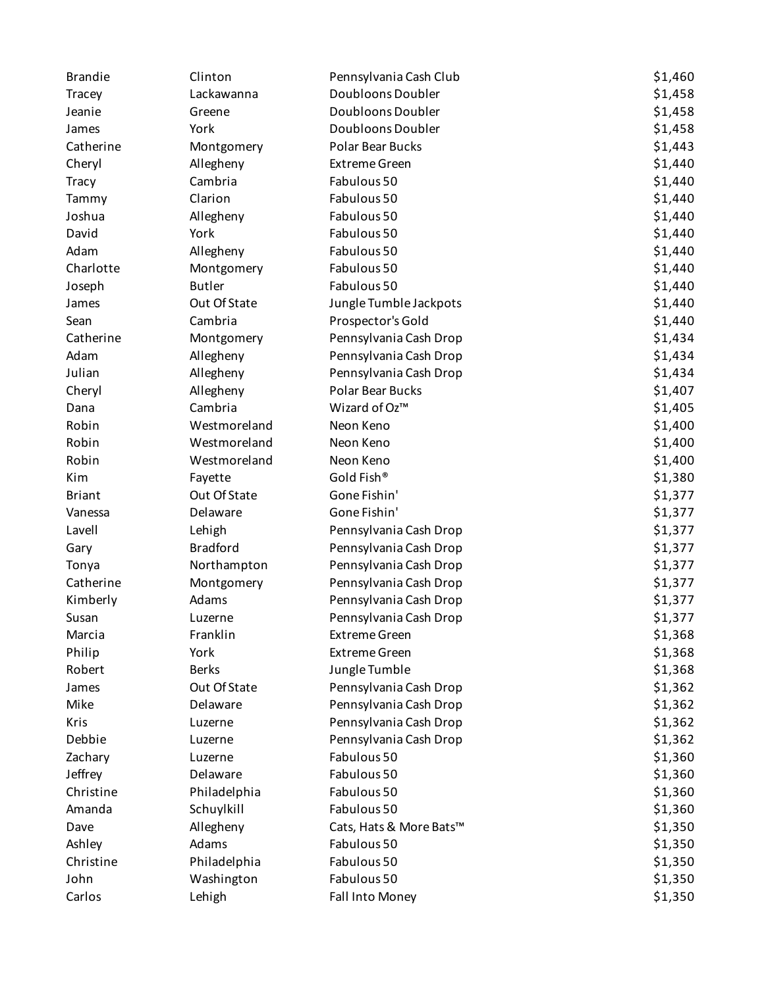| <b>Brandie</b> | Clinton         | Pennsylvania Cash Club  | \$1,460 |
|----------------|-----------------|-------------------------|---------|
| Tracey         | Lackawanna      | Doubloons Doubler       | \$1,458 |
| Jeanie         | Greene          | Doubloons Doubler       | \$1,458 |
| James          | York            | Doubloons Doubler       | \$1,458 |
| Catherine      | Montgomery      | <b>Polar Bear Bucks</b> | \$1,443 |
| Cheryl         | Allegheny       | <b>Extreme Green</b>    | \$1,440 |
| <b>Tracy</b>   | Cambria         | Fabulous 50             | \$1,440 |
| Tammy          | Clarion         | Fabulous 50             | \$1,440 |
| Joshua         | Allegheny       | Fabulous 50             | \$1,440 |
| David          | York            | Fabulous 50             | \$1,440 |
| Adam           | Allegheny       | Fabulous 50             | \$1,440 |
| Charlotte      | Montgomery      | Fabulous 50             | \$1,440 |
| Joseph         | <b>Butler</b>   | Fabulous 50             | \$1,440 |
| James          | Out Of State    | Jungle Tumble Jackpots  | \$1,440 |
| Sean           | Cambria         | Prospector's Gold       | \$1,440 |
| Catherine      | Montgomery      | Pennsylvania Cash Drop  | \$1,434 |
| Adam           | Allegheny       | Pennsylvania Cash Drop  | \$1,434 |
| Julian         | Allegheny       | Pennsylvania Cash Drop  | \$1,434 |
| Cheryl         | Allegheny       | Polar Bear Bucks        | \$1,407 |
| Dana           | Cambria         | Wizard of Oz™           | \$1,405 |
| Robin          | Westmoreland    | Neon Keno               | \$1,400 |
| Robin          | Westmoreland    | Neon Keno               | \$1,400 |
| Robin          | Westmoreland    | Neon Keno               | \$1,400 |
| Kim            | Fayette         | Gold Fish®              | \$1,380 |
| <b>Briant</b>  | Out Of State    | Gone Fishin'            | \$1,377 |
| Vanessa        | Delaware        | Gone Fishin'            | \$1,377 |
| Lavell         | Lehigh          | Pennsylvania Cash Drop  | \$1,377 |
| Gary           | <b>Bradford</b> | Pennsylvania Cash Drop  | \$1,377 |
| Tonya          | Northampton     | Pennsylvania Cash Drop  | \$1,377 |
| Catherine      | Montgomery      | Pennsylvania Cash Drop  | \$1,377 |
| Kimberly       | Adams           | Pennsylvania Cash Drop  | \$1,377 |
| Susan          | Luzerne         | Pennsylvania Cash Drop  | \$1,377 |
| Marcia         | Franklin        | <b>Extreme Green</b>    | \$1,368 |
| Philip         | York            | <b>Extreme Green</b>    | \$1,368 |
| Robert         | <b>Berks</b>    | Jungle Tumble           | \$1,368 |
| James          | Out Of State    | Pennsylvania Cash Drop  | \$1,362 |
| Mike           | Delaware        | Pennsylvania Cash Drop  | \$1,362 |
| Kris           | Luzerne         | Pennsylvania Cash Drop  | \$1,362 |
| Debbie         | Luzerne         | Pennsylvania Cash Drop  | \$1,362 |
| Zachary        | Luzerne         | Fabulous 50             | \$1,360 |
| Jeffrey        | Delaware        | Fabulous 50             | \$1,360 |
| Christine      | Philadelphia    | Fabulous 50             | \$1,360 |
| Amanda         | Schuylkill      | Fabulous 50             | \$1,360 |
| Dave           | Allegheny       | Cats, Hats & More Bats™ | \$1,350 |
| Ashley         | Adams           | Fabulous 50             | \$1,350 |
| Christine      | Philadelphia    | Fabulous 50             | \$1,350 |
| John           | Washington      | Fabulous 50             | \$1,350 |
| Carlos         | Lehigh          | Fall Into Money         | \$1,350 |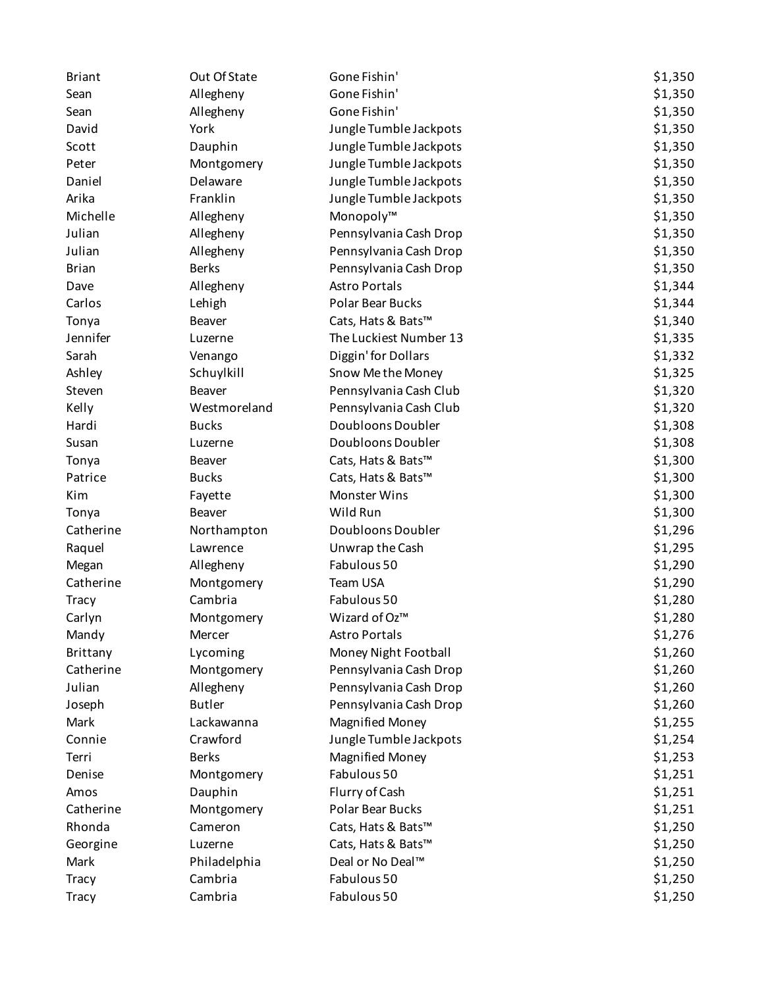| <b>Briant</b> | Out Of State  | Gone Fishin'           | \$1,350 |
|---------------|---------------|------------------------|---------|
| Sean          | Allegheny     | Gone Fishin'           | \$1,350 |
| Sean          | Allegheny     | Gone Fishin'           | \$1,350 |
| David         | York          | Jungle Tumble Jackpots | \$1,350 |
| Scott         | Dauphin       | Jungle Tumble Jackpots | \$1,350 |
| Peter         | Montgomery    | Jungle Tumble Jackpots | \$1,350 |
| Daniel        | Delaware      | Jungle Tumble Jackpots | \$1,350 |
| Arika         | Franklin      | Jungle Tumble Jackpots | \$1,350 |
| Michelle      | Allegheny     | Monopoly™              | \$1,350 |
| Julian        | Allegheny     | Pennsylvania Cash Drop | \$1,350 |
| Julian        | Allegheny     | Pennsylvania Cash Drop | \$1,350 |
| <b>Brian</b>  | <b>Berks</b>  | Pennsylvania Cash Drop | \$1,350 |
| Dave          | Allegheny     | <b>Astro Portals</b>   | \$1,344 |
| Carlos        | Lehigh        | Polar Bear Bucks       | \$1,344 |
| Tonya         | Beaver        | Cats, Hats & Bats™     | \$1,340 |
| Jennifer      | Luzerne       | The Luckiest Number 13 | \$1,335 |
| Sarah         | Venango       | Diggin' for Dollars    | \$1,332 |
| Ashley        | Schuylkill    | Snow Me the Money      | \$1,325 |
| Steven        | Beaver        | Pennsylvania Cash Club | \$1,320 |
| Kelly         | Westmoreland  | Pennsylvania Cash Club | \$1,320 |
| Hardi         | <b>Bucks</b>  | Doubloons Doubler      | \$1,308 |
| Susan         | Luzerne       | Doubloons Doubler      | \$1,308 |
| Tonya         | Beaver        | Cats, Hats & Bats™     | \$1,300 |
| Patrice       | <b>Bucks</b>  | Cats, Hats & Bats™     | \$1,300 |
| Kim           | Fayette       | Monster Wins           | \$1,300 |
| Tonya         | Beaver        | Wild Run               | \$1,300 |
| Catherine     | Northampton   | Doubloons Doubler      | \$1,296 |
| Raquel        | Lawrence      | Unwrap the Cash        | \$1,295 |
| Megan         | Allegheny     | Fabulous 50            | \$1,290 |
| Catherine     | Montgomery    | Team USA               | \$1,290 |
| <b>Tracy</b>  | Cambria       | Fabulous 50            | \$1,280 |
| Carlyn        | Montgomery    | Wizard of Oz™          | \$1,280 |
| Mandy         | Mercer        | <b>Astro Portals</b>   | \$1,276 |
| Brittany      | Lycoming      | Money Night Football   | \$1,260 |
| Catherine     | Montgomery    | Pennsylvania Cash Drop | \$1,260 |
| Julian        | Allegheny     | Pennsylvania Cash Drop | \$1,260 |
| Joseph        | <b>Butler</b> | Pennsylvania Cash Drop | \$1,260 |
| Mark          | Lackawanna    | <b>Magnified Money</b> | \$1,255 |
| Connie        | Crawford      | Jungle Tumble Jackpots | \$1,254 |
| Terri         | <b>Berks</b>  | <b>Magnified Money</b> | \$1,253 |
| Denise        | Montgomery    | Fabulous 50            | \$1,251 |
| Amos          | Dauphin       | Flurry of Cash         | \$1,251 |
| Catherine     | Montgomery    | Polar Bear Bucks       | \$1,251 |
| Rhonda        | Cameron       | Cats, Hats & Bats™     | \$1,250 |
| Georgine      | Luzerne       | Cats, Hats & Bats™     | \$1,250 |
| Mark          | Philadelphia  | Deal or No Deal™       | \$1,250 |
| <b>Tracy</b>  | Cambria       | Fabulous 50            | \$1,250 |
| Tracy         | Cambria       | Fabulous 50            | \$1,250 |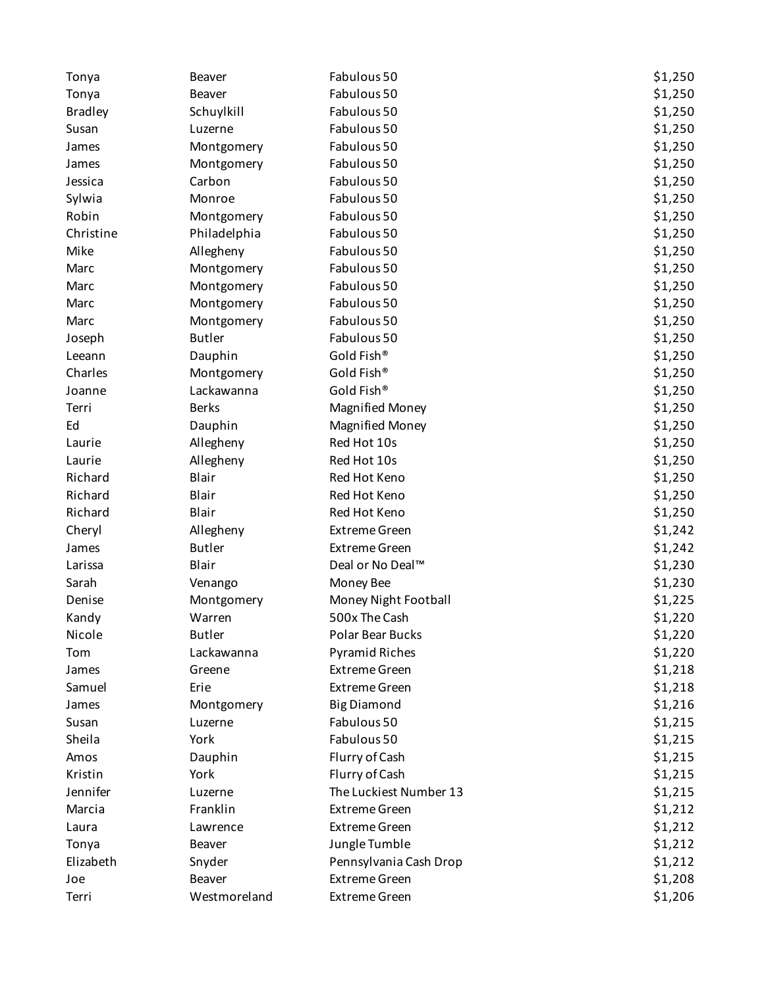| Tonya          | <b>Beaver</b> | Fabulous 50            | \$1,250 |
|----------------|---------------|------------------------|---------|
| Tonya          | Beaver        | Fabulous 50            | \$1,250 |
| <b>Bradley</b> | Schuylkill    | Fabulous 50            | \$1,250 |
| Susan          | Luzerne       | Fabulous 50            | \$1,250 |
| James          | Montgomery    | Fabulous 50            | \$1,250 |
| James          | Montgomery    | Fabulous 50            | \$1,250 |
| Jessica        | Carbon        | Fabulous 50            | \$1,250 |
| Sylwia         | Monroe        | Fabulous 50            | \$1,250 |
| Robin          | Montgomery    | Fabulous 50            | \$1,250 |
| Christine      | Philadelphia  | Fabulous 50            | \$1,250 |
| Mike           | Allegheny     | Fabulous 50            | \$1,250 |
| Marc           | Montgomery    | Fabulous 50            | \$1,250 |
| Marc           | Montgomery    | Fabulous 50            | \$1,250 |
| Marc           | Montgomery    | Fabulous 50            | \$1,250 |
| Marc           | Montgomery    | Fabulous 50            | \$1,250 |
| Joseph         | <b>Butler</b> | Fabulous 50            | \$1,250 |
| Leeann         | Dauphin       | Gold Fish®             | \$1,250 |
| Charles        | Montgomery    | Gold Fish®             | \$1,250 |
| Joanne         | Lackawanna    | Gold Fish®             | \$1,250 |
| Terri          | <b>Berks</b>  | <b>Magnified Money</b> | \$1,250 |
| Ed             | Dauphin       | <b>Magnified Money</b> | \$1,250 |
| Laurie         | Allegheny     | Red Hot 10s            | \$1,250 |
| Laurie         | Allegheny     | Red Hot 10s            | \$1,250 |
| Richard        | Blair         | Red Hot Keno           | \$1,250 |
| Richard        | Blair         | Red Hot Keno           | \$1,250 |
| Richard        | Blair         | Red Hot Keno           | \$1,250 |
| Cheryl         | Allegheny     | <b>Extreme Green</b>   | \$1,242 |
| James          | <b>Butler</b> | <b>Extreme Green</b>   | \$1,242 |
| Larissa        | Blair         | Deal or No Deal™       | \$1,230 |
| Sarah          | Venango       | Money Bee              | \$1,230 |
| Denise         | Montgomery    | Money Night Football   | \$1,225 |
| Kandy          | Warren        | 500x The Cash          | \$1,220 |
| Nicole         | <b>Butler</b> | Polar Bear Bucks       | \$1,220 |
| Tom            | Lackawanna    | <b>Pyramid Riches</b>  | \$1,220 |
| James          | Greene        | <b>Extreme Green</b>   | \$1,218 |
| Samuel         | Erie          | <b>Extreme Green</b>   | \$1,218 |
| James          | Montgomery    | <b>Big Diamond</b>     | \$1,216 |
| Susan          | Luzerne       | Fabulous 50            | \$1,215 |
| Sheila         | York          | Fabulous 50            | \$1,215 |
| Amos           | Dauphin       | Flurry of Cash         | \$1,215 |
| Kristin        | York          | Flurry of Cash         | \$1,215 |
| Jennifer       | Luzerne       | The Luckiest Number 13 | \$1,215 |
| Marcia         | Franklin      | <b>Extreme Green</b>   | \$1,212 |
| Laura          | Lawrence      | <b>Extreme Green</b>   | \$1,212 |
| Tonya          | Beaver        | Jungle Tumble          | \$1,212 |
| Elizabeth      | Snyder        | Pennsylvania Cash Drop | \$1,212 |
| Joe            | Beaver        | <b>Extreme Green</b>   | \$1,208 |
| Terri          | Westmoreland  | <b>Extreme Green</b>   | \$1,206 |
|                |               |                        |         |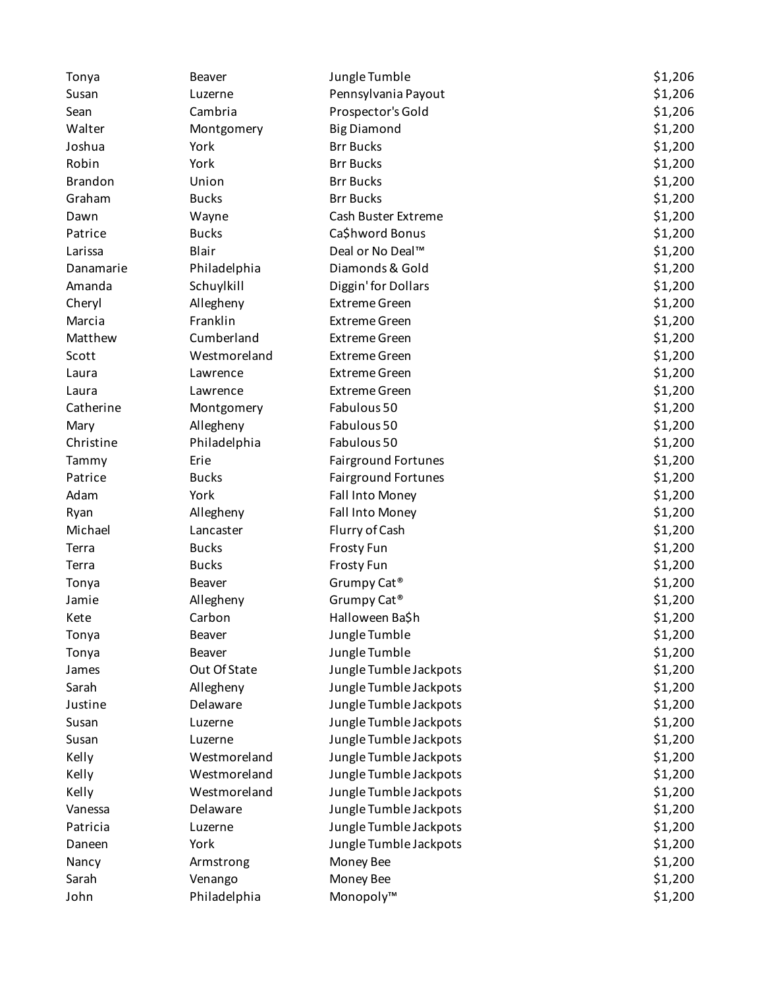| Tonya          | <b>Beaver</b> | Jungle Tumble              | \$1,206 |
|----------------|---------------|----------------------------|---------|
| Susan          | Luzerne       | Pennsylvania Payout        | \$1,206 |
| Sean           | Cambria       | Prospector's Gold          | \$1,206 |
| Walter         | Montgomery    | <b>Big Diamond</b>         | \$1,200 |
| Joshua         | York          | <b>Brr Bucks</b>           | \$1,200 |
| Robin          | York          | <b>Brr Bucks</b>           | \$1,200 |
| <b>Brandon</b> | Union         | <b>Brr Bucks</b>           | \$1,200 |
| Graham         | <b>Bucks</b>  | <b>Brr Bucks</b>           | \$1,200 |
| Dawn           | Wayne         | Cash Buster Extreme        | \$1,200 |
| Patrice        | <b>Bucks</b>  | Ca\$hword Bonus            | \$1,200 |
| Larissa        | Blair         | Deal or No Deal™           | \$1,200 |
| Danamarie      | Philadelphia  | Diamonds & Gold            | \$1,200 |
| Amanda         | Schuylkill    | Diggin' for Dollars        | \$1,200 |
| Cheryl         | Allegheny     | <b>Extreme Green</b>       | \$1,200 |
| Marcia         | Franklin      | <b>Extreme Green</b>       | \$1,200 |
| Matthew        | Cumberland    | <b>Extreme Green</b>       | \$1,200 |
| Scott          | Westmoreland  | <b>Extreme Green</b>       | \$1,200 |
| Laura          | Lawrence      | <b>Extreme Green</b>       | \$1,200 |
| Laura          | Lawrence      | <b>Extreme Green</b>       | \$1,200 |
| Catherine      | Montgomery    | Fabulous 50                | \$1,200 |
| Mary           | Allegheny     | Fabulous 50                | \$1,200 |
| Christine      | Philadelphia  | Fabulous 50                | \$1,200 |
| Tammy          | Erie          | <b>Fairground Fortunes</b> | \$1,200 |
| Patrice        | <b>Bucks</b>  | <b>Fairground Fortunes</b> | \$1,200 |
| Adam           | York          | Fall Into Money            | \$1,200 |
| Ryan           | Allegheny     | Fall Into Money            | \$1,200 |
| Michael        | Lancaster     | Flurry of Cash             | \$1,200 |
| Terra          | <b>Bucks</b>  | Frosty Fun                 | \$1,200 |
| Terra          | <b>Bucks</b>  | Frosty Fun                 | \$1,200 |
| Tonya          | Beaver        | Grumpy Cat <sup>®</sup>    | \$1,200 |
| Jamie          | Allegheny     | Grumpy Cat <sup>®</sup>    | \$1,200 |
| Kete           | Carbon        | Halloween Ba\$h            | \$1,200 |
| Tonya          | Beaver        | Jungle Tumble              | \$1,200 |
| Tonya          | Beaver        | Jungle Tumble              | \$1,200 |
| James          | Out Of State  | Jungle Tumble Jackpots     | \$1,200 |
| Sarah          | Allegheny     | Jungle Tumble Jackpots     | \$1,200 |
| Justine        | Delaware      | Jungle Tumble Jackpots     | \$1,200 |
| Susan          | Luzerne       | Jungle Tumble Jackpots     | \$1,200 |
| Susan          | Luzerne       | Jungle Tumble Jackpots     | \$1,200 |
| Kelly          | Westmoreland  | Jungle Tumble Jackpots     | \$1,200 |
| Kelly          | Westmoreland  | Jungle Tumble Jackpots     | \$1,200 |
| Kelly          | Westmoreland  | Jungle Tumble Jackpots     | \$1,200 |
| Vanessa        | Delaware      | Jungle Tumble Jackpots     | \$1,200 |
| Patricia       | Luzerne       | Jungle Tumble Jackpots     | \$1,200 |
| Daneen         | York          | Jungle Tumble Jackpots     | \$1,200 |
| Nancy          | Armstrong     | Money Bee                  | \$1,200 |
| Sarah          | Venango       | Money Bee                  | \$1,200 |
| John           | Philadelphia  | Monopoly™                  | \$1,200 |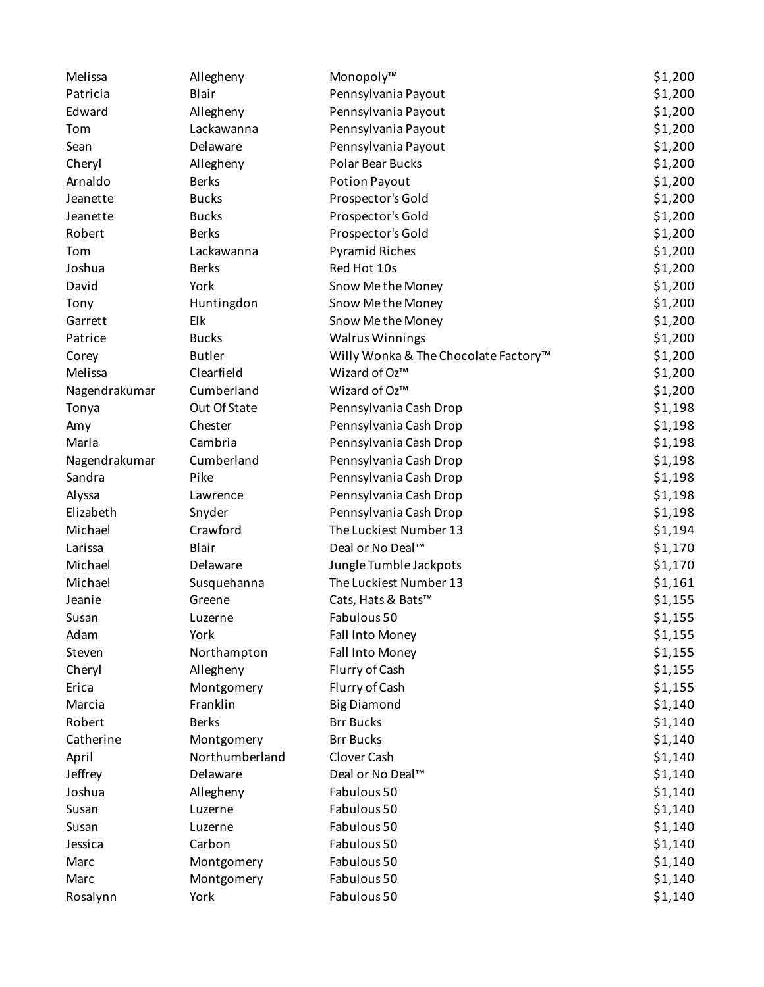| Melissa       | Allegheny      | Monopoly™                            | \$1,200 |
|---------------|----------------|--------------------------------------|---------|
| Patricia      | Blair          | Pennsylvania Payout                  | \$1,200 |
| Edward        | Allegheny      | Pennsylvania Payout                  | \$1,200 |
| Tom           | Lackawanna     | Pennsylvania Payout                  | \$1,200 |
| Sean          | Delaware       | Pennsylvania Payout                  | \$1,200 |
| Cheryl        | Allegheny      | Polar Bear Bucks                     | \$1,200 |
| Arnaldo       | <b>Berks</b>   | Potion Payout                        | \$1,200 |
| Jeanette      | <b>Bucks</b>   | Prospector's Gold                    | \$1,200 |
| Jeanette      | <b>Bucks</b>   | Prospector's Gold                    | \$1,200 |
| Robert        | <b>Berks</b>   | Prospector's Gold                    | \$1,200 |
| Tom           | Lackawanna     | <b>Pyramid Riches</b>                | \$1,200 |
| Joshua        | <b>Berks</b>   | Red Hot 10s                          | \$1,200 |
| David         | York           | Snow Methe Money                     | \$1,200 |
| Tony          | Huntingdon     | Snow Methe Money                     | \$1,200 |
| Garrett       | Elk            | Snow Methe Money                     | \$1,200 |
| Patrice       | <b>Bucks</b>   | <b>Walrus Winnings</b>               | \$1,200 |
| Corey         | <b>Butler</b>  | Willy Wonka & The Chocolate Factory™ | \$1,200 |
| Melissa       | Clearfield     | Wizard of Oz™                        | \$1,200 |
| Nagendrakumar | Cumberland     | Wizard of Oz™                        | \$1,200 |
| Tonya         | Out Of State   | Pennsylvania Cash Drop               | \$1,198 |
| Amy           | Chester        | Pennsylvania Cash Drop               | \$1,198 |
| Marla         | Cambria        | Pennsylvania Cash Drop               | \$1,198 |
| Nagendrakumar | Cumberland     | Pennsylvania Cash Drop               | \$1,198 |
| Sandra        | Pike           | Pennsylvania Cash Drop               | \$1,198 |
| Alyssa        | Lawrence       | Pennsylvania Cash Drop               | \$1,198 |
| Elizabeth     | Snyder         | Pennsylvania Cash Drop               | \$1,198 |
| Michael       | Crawford       | The Luckiest Number 13               | \$1,194 |
| Larissa       | Blair          | Deal or No Deal™                     | \$1,170 |
| Michael       | Delaware       | Jungle Tumble Jackpots               | \$1,170 |
| Michael       | Susquehanna    | The Luckiest Number 13               | \$1,161 |
| Jeanie        | Greene         | Cats, Hats & Bats™                   | \$1,155 |
| Susan         | Luzerne        | Fabulous 50                          | \$1,155 |
| Adam          | York           | Fall Into Money                      | \$1,155 |
| Steven        | Northampton    | Fall Into Money                      | \$1,155 |
| Cheryl        | Allegheny      | Flurry of Cash                       | \$1,155 |
| Erica         | Montgomery     | Flurry of Cash                       | \$1,155 |
| Marcia        | Franklin       | <b>Big Diamond</b>                   | \$1,140 |
| Robert        | <b>Berks</b>   | <b>Brr Bucks</b>                     | \$1,140 |
| Catherine     | Montgomery     | <b>Brr Bucks</b>                     | \$1,140 |
| April         | Northumberland | Clover Cash                          | \$1,140 |
| Jeffrey       | Delaware       | Deal or No Deal™                     | \$1,140 |
| Joshua        | Allegheny      | Fabulous 50                          | \$1,140 |
| Susan         | Luzerne        | Fabulous 50                          | \$1,140 |
| Susan         | Luzerne        | Fabulous 50                          | \$1,140 |
| Jessica       | Carbon         | Fabulous 50                          | \$1,140 |
| Marc          | Montgomery     | Fabulous 50                          | \$1,140 |
| Marc          | Montgomery     | Fabulous 50                          | \$1,140 |
| Rosalynn      | York           | Fabulous 50                          | \$1,140 |
|               |                |                                      |         |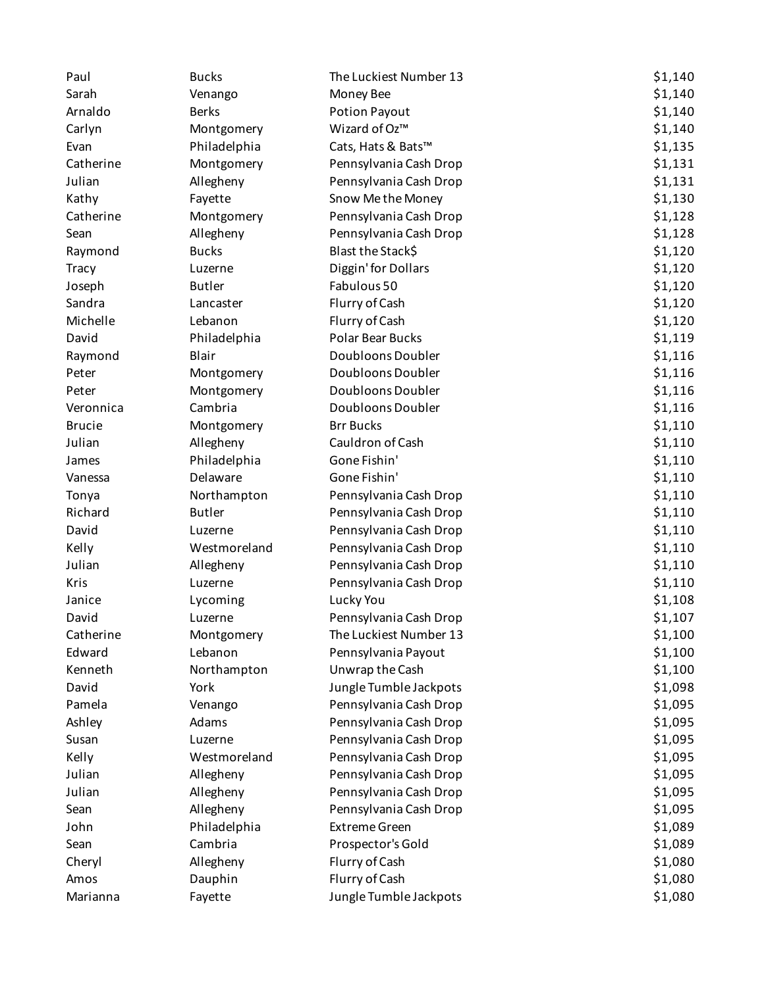| Paul          | <b>Bucks</b>  | The Luckiest Number 13  | \$1,140 |
|---------------|---------------|-------------------------|---------|
| Sarah         | Venango       | Money Bee               | \$1,140 |
| Arnaldo       | <b>Berks</b>  | Potion Payout           | \$1,140 |
| Carlyn        | Montgomery    | Wizard of Oz™           | \$1,140 |
| Evan          | Philadelphia  | Cats, Hats & Bats™      | \$1,135 |
| Catherine     | Montgomery    | Pennsylvania Cash Drop  | \$1,131 |
| Julian        | Allegheny     | Pennsylvania Cash Drop  | \$1,131 |
| Kathy         | Fayette       | Snow Methe Money        | \$1,130 |
| Catherine     | Montgomery    | Pennsylvania Cash Drop  | \$1,128 |
| Sean          | Allegheny     | Pennsylvania Cash Drop  | \$1,128 |
| Raymond       | <b>Bucks</b>  | Blast the Stack\$       | \$1,120 |
| Tracy         | Luzerne       | Diggin' for Dollars     | \$1,120 |
| Joseph        | <b>Butler</b> | Fabulous 50             | \$1,120 |
| Sandra        | Lancaster     | Flurry of Cash          | \$1,120 |
| Michelle      | Lebanon       | Flurry of Cash          | \$1,120 |
| David         | Philadelphia  | <b>Polar Bear Bucks</b> | \$1,119 |
| Raymond       | Blair         | Doubloons Doubler       | \$1,116 |
| Peter         | Montgomery    | Doubloons Doubler       | \$1,116 |
| Peter         | Montgomery    | Doubloons Doubler       | \$1,116 |
| Veronnica     | Cambria       | Doubloons Doubler       | \$1,116 |
| <b>Brucie</b> | Montgomery    | <b>Brr Bucks</b>        | \$1,110 |
| Julian        | Allegheny     | Cauldron of Cash        | \$1,110 |
| James         | Philadelphia  | Gone Fishin'            | \$1,110 |
| Vanessa       | Delaware      | Gone Fishin'            | \$1,110 |
| Tonya         | Northampton   | Pennsylvania Cash Drop  | \$1,110 |
| Richard       | <b>Butler</b> | Pennsylvania Cash Drop  | \$1,110 |
| David         | Luzerne       | Pennsylvania Cash Drop  | \$1,110 |
| Kelly         | Westmoreland  | Pennsylvania Cash Drop  | \$1,110 |
| Julian        | Allegheny     | Pennsylvania Cash Drop  | \$1,110 |
| Kris          | Luzerne       | Pennsylvania Cash Drop  | \$1,110 |
| Janice        | Lycoming      | Lucky You               | \$1,108 |
| David         | Luzerne       | Pennsylvania Cash Drop  | \$1,107 |
| Catherine     | Montgomery    | The Luckiest Number 13  | \$1,100 |
| Edward        | Lebanon       | Pennsylvania Payout     | \$1,100 |
| Kenneth       | Northampton   | Unwrap the Cash         | \$1,100 |
| David         | York          | Jungle Tumble Jackpots  | \$1,098 |
| Pamela        | Venango       | Pennsylvania Cash Drop  | \$1,095 |
| Ashley        | Adams         | Pennsylvania Cash Drop  | \$1,095 |
| Susan         | Luzerne       | Pennsylvania Cash Drop  | \$1,095 |
| Kelly         | Westmoreland  | Pennsylvania Cash Drop  | \$1,095 |
| Julian        | Allegheny     | Pennsylvania Cash Drop  | \$1,095 |
| Julian        | Allegheny     | Pennsylvania Cash Drop  | \$1,095 |
| Sean          | Allegheny     | Pennsylvania Cash Drop  | \$1,095 |
| John          | Philadelphia  | <b>Extreme Green</b>    | \$1,089 |
| Sean          | Cambria       | Prospector's Gold       | \$1,089 |
| Cheryl        | Allegheny     | Flurry of Cash          | \$1,080 |
| Amos          | Dauphin       | Flurry of Cash          | \$1,080 |
| Marianna      | Fayette       | Jungle Tumble Jackpots  | \$1,080 |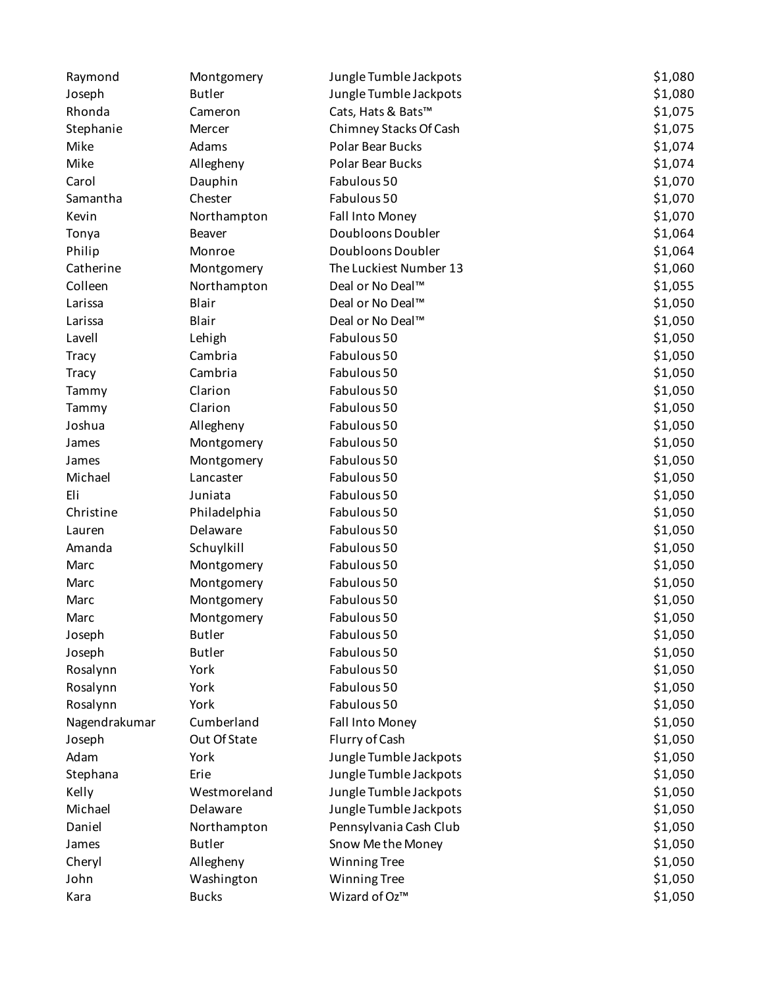| Raymond       | Montgomery    | Jungle Tumble Jackpots | \$1,080 |
|---------------|---------------|------------------------|---------|
| Joseph        | <b>Butler</b> | Jungle Tumble Jackpots | \$1,080 |
| Rhonda        | Cameron       | Cats, Hats & Bats™     | \$1,075 |
| Stephanie     | Mercer        | Chimney Stacks Of Cash | \$1,075 |
| Mike          | Adams         | Polar Bear Bucks       | \$1,074 |
| Mike          | Allegheny     | Polar Bear Bucks       | \$1,074 |
| Carol         | Dauphin       | Fabulous 50            | \$1,070 |
| Samantha      | Chester       | Fabulous 50            | \$1,070 |
| Kevin         | Northampton   | Fall Into Money        | \$1,070 |
| Tonya         | Beaver        | Doubloons Doubler      | \$1,064 |
| Philip        | Monroe        | Doubloons Doubler      | \$1,064 |
| Catherine     | Montgomery    | The Luckiest Number 13 | \$1,060 |
| Colleen       | Northampton   | Deal or No Deal™       | \$1,055 |
| Larissa       | Blair         | Deal or No Deal™       | \$1,050 |
| Larissa       | Blair         | Deal or No Deal™       | \$1,050 |
| Lavell        | Lehigh        | Fabulous 50            | \$1,050 |
| <b>Tracy</b>  | Cambria       | Fabulous 50            | \$1,050 |
| <b>Tracy</b>  | Cambria       | Fabulous 50            | \$1,050 |
| Tammy         | Clarion       | Fabulous 50            | \$1,050 |
| Tammy         | Clarion       | Fabulous 50            | \$1,050 |
| Joshua        | Allegheny     | Fabulous 50            | \$1,050 |
| James         | Montgomery    | Fabulous 50            | \$1,050 |
| James         | Montgomery    | Fabulous 50            | \$1,050 |
| Michael       | Lancaster     | Fabulous 50            | \$1,050 |
| Eli           | Juniata       | Fabulous 50            | \$1,050 |
| Christine     | Philadelphia  | Fabulous 50            | \$1,050 |
| Lauren        | Delaware      | Fabulous 50            | \$1,050 |
| Amanda        | Schuylkill    | Fabulous 50            | \$1,050 |
| Marc          | Montgomery    | Fabulous 50            | \$1,050 |
| Marc          | Montgomery    | Fabulous 50            | \$1,050 |
| Marc          | Montgomery    | Fabulous 50            | \$1,050 |
| Marc          | Montgomery    | Fabulous 50            | \$1,050 |
| Joseph        | <b>Butler</b> | Fabulous 50            | \$1,050 |
| Joseph        | <b>Butler</b> | Fabulous 50            | \$1,050 |
| Rosalynn      | York          | Fabulous 50            | \$1,050 |
| Rosalynn      | York          | Fabulous 50            | \$1,050 |
| Rosalynn      | York          | Fabulous 50            | \$1,050 |
| Nagendrakumar | Cumberland    | Fall Into Money        | \$1,050 |
| Joseph        | Out Of State  | Flurry of Cash         | \$1,050 |
| Adam          | York          | Jungle Tumble Jackpots | \$1,050 |
| Stephana      | Erie          | Jungle Tumble Jackpots | \$1,050 |
| Kelly         | Westmoreland  | Jungle Tumble Jackpots | \$1,050 |
| Michael       | Delaware      | Jungle Tumble Jackpots | \$1,050 |
| Daniel        | Northampton   | Pennsylvania Cash Club | \$1,050 |
| James         | <b>Butler</b> | Snow Me the Money      | \$1,050 |
| Cheryl        | Allegheny     | <b>Winning Tree</b>    | \$1,050 |
| John          | Washington    | <b>Winning Tree</b>    | \$1,050 |
| Kara          | <b>Bucks</b>  | Wizard of Oz™          | \$1,050 |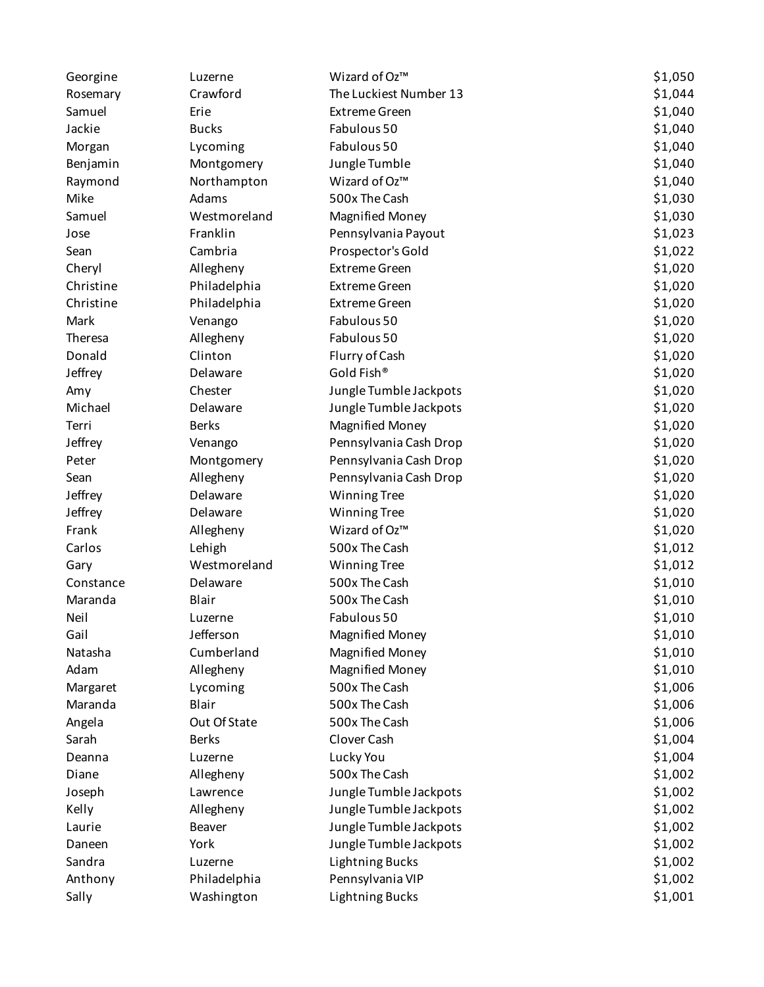| Georgine  | Luzerne      | Wizard of Oz™          | \$1,050 |
|-----------|--------------|------------------------|---------|
| Rosemary  | Crawford     | The Luckiest Number 13 | \$1,044 |
| Samuel    | Erie         | <b>Extreme Green</b>   | \$1,040 |
| Jackie    | <b>Bucks</b> | Fabulous 50            | \$1,040 |
| Morgan    | Lycoming     | Fabulous 50            | \$1,040 |
| Benjamin  | Montgomery   | Jungle Tumble          | \$1,040 |
| Raymond   | Northampton  | Wizard of Oz™          | \$1,040 |
| Mike      | Adams        | 500x The Cash          | \$1,030 |
| Samuel    | Westmoreland | <b>Magnified Money</b> | \$1,030 |
| Jose      | Franklin     | Pennsylvania Payout    | \$1,023 |
| Sean      | Cambria      | Prospector's Gold      | \$1,022 |
| Cheryl    | Allegheny    | <b>Extreme Green</b>   | \$1,020 |
| Christine | Philadelphia | <b>Extreme Green</b>   | \$1,020 |
| Christine | Philadelphia | <b>Extreme Green</b>   | \$1,020 |
| Mark      | Venango      | Fabulous 50            | \$1,020 |
| Theresa   | Allegheny    | Fabulous 50            | \$1,020 |
| Donald    | Clinton      | Flurry of Cash         | \$1,020 |
| Jeffrey   | Delaware     | Gold Fish®             | \$1,020 |
| Amy       | Chester      | Jungle Tumble Jackpots | \$1,020 |
| Michael   | Delaware     | Jungle Tumble Jackpots | \$1,020 |
| Terri     | <b>Berks</b> | <b>Magnified Money</b> | \$1,020 |
| Jeffrey   | Venango      | Pennsylvania Cash Drop | \$1,020 |
| Peter     | Montgomery   | Pennsylvania Cash Drop | \$1,020 |
| Sean      | Allegheny    | Pennsylvania Cash Drop | \$1,020 |
| Jeffrey   | Delaware     | <b>Winning Tree</b>    | \$1,020 |
| Jeffrey   | Delaware     | <b>Winning Tree</b>    | \$1,020 |
| Frank     | Allegheny    | Wizard of Oz™          | \$1,020 |
| Carlos    | Lehigh       | 500x The Cash          | \$1,012 |
| Gary      | Westmoreland | <b>Winning Tree</b>    | \$1,012 |
| Constance | Delaware     | 500x The Cash          | \$1,010 |
| Maranda   | Blair        | 500x The Cash          | \$1,010 |
| Neil      | Luzerne      | Fabulous 50            | \$1,010 |
| Gail      | Jefferson    | <b>Magnified Money</b> | \$1,010 |
| Natasha   | Cumberland   | <b>Magnified Money</b> | \$1,010 |
| Adam      | Allegheny    | <b>Magnified Money</b> | \$1,010 |
| Margaret  | Lycoming     | 500x The Cash          | \$1,006 |
| Maranda   | Blair        | 500x The Cash          | \$1,006 |
| Angela    | Out Of State | 500x The Cash          | \$1,006 |
| Sarah     | <b>Berks</b> | Clover Cash            | \$1,004 |
| Deanna    | Luzerne      | Lucky You              | \$1,004 |
| Diane     | Allegheny    | 500x The Cash          | \$1,002 |
| Joseph    | Lawrence     | Jungle Tumble Jackpots | \$1,002 |
| Kelly     | Allegheny    | Jungle Tumble Jackpots | \$1,002 |
| Laurie    | Beaver       | Jungle Tumble Jackpots | \$1,002 |
| Daneen    | York         | Jungle Tumble Jackpots | \$1,002 |
| Sandra    | Luzerne      | <b>Lightning Bucks</b> | \$1,002 |
| Anthony   | Philadelphia | Pennsylvania VIP       | \$1,002 |
| Sally     | Washington   | <b>Lightning Bucks</b> | \$1,001 |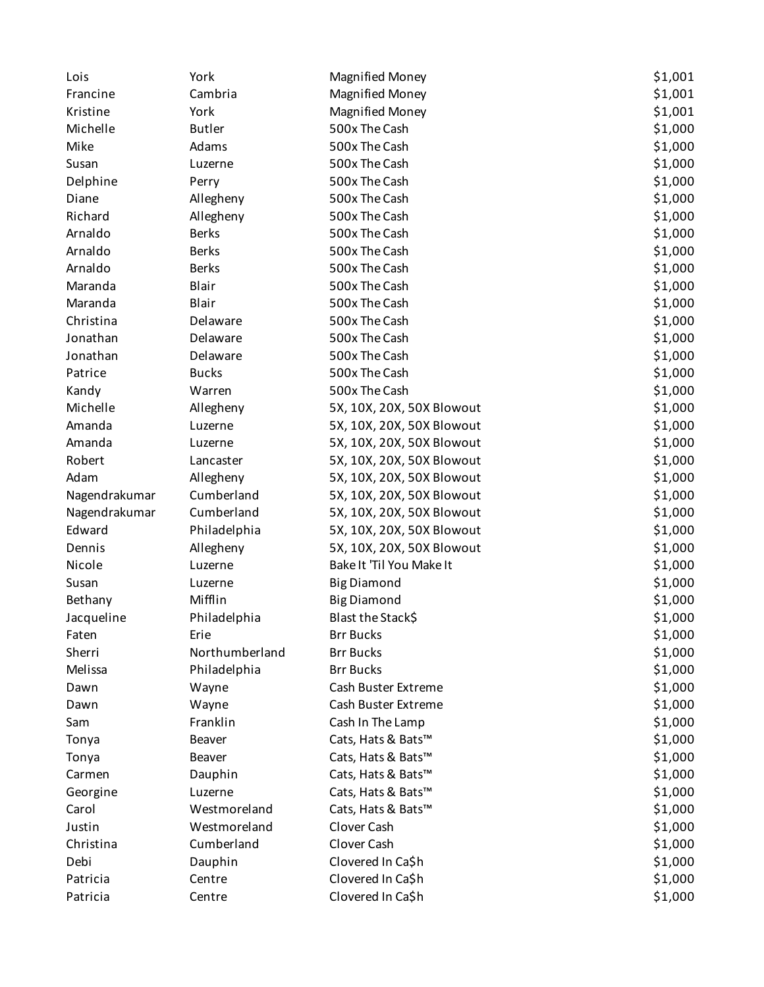| Lois          | York           | <b>Magnified Money</b>    | \$1,001 |
|---------------|----------------|---------------------------|---------|
| Francine      | Cambria        | <b>Magnified Money</b>    | \$1,001 |
| Kristine      | York           | <b>Magnified Money</b>    | \$1,001 |
| Michelle      | <b>Butler</b>  | 500x The Cash             | \$1,000 |
| Mike          | Adams          | 500x The Cash             | \$1,000 |
| Susan         | Luzerne        | 500x The Cash             | \$1,000 |
| Delphine      | Perry          | 500x The Cash             | \$1,000 |
| Diane         | Allegheny      | 500x The Cash             | \$1,000 |
| Richard       | Allegheny      | 500x The Cash             | \$1,000 |
| Arnaldo       | <b>Berks</b>   | 500x The Cash             | \$1,000 |
| Arnaldo       | <b>Berks</b>   | 500x The Cash             | \$1,000 |
| Arnaldo       | <b>Berks</b>   | 500x The Cash             | \$1,000 |
| Maranda       | Blair          | 500x The Cash             | \$1,000 |
| Maranda       | Blair          | 500x The Cash             | \$1,000 |
| Christina     | Delaware       | 500x The Cash             | \$1,000 |
| Jonathan      | Delaware       | 500x The Cash             | \$1,000 |
| Jonathan      | Delaware       | 500x The Cash             | \$1,000 |
| Patrice       | <b>Bucks</b>   | 500x The Cash             | \$1,000 |
| Kandy         | Warren         | 500x The Cash             | \$1,000 |
| Michelle      | Allegheny      | 5X, 10X, 20X, 50X Blowout | \$1,000 |
| Amanda        | Luzerne        | 5X, 10X, 20X, 50X Blowout | \$1,000 |
| Amanda        | Luzerne        | 5X, 10X, 20X, 50X Blowout | \$1,000 |
| Robert        | Lancaster      | 5X, 10X, 20X, 50X Blowout | \$1,000 |
| Adam          | Allegheny      | 5X, 10X, 20X, 50X Blowout | \$1,000 |
| Nagendrakumar | Cumberland     | 5X, 10X, 20X, 50X Blowout | \$1,000 |
| Nagendrakumar | Cumberland     | 5X, 10X, 20X, 50X Blowout | \$1,000 |
| Edward        | Philadelphia   | 5X, 10X, 20X, 50X Blowout | \$1,000 |
| Dennis        | Allegheny      | 5X, 10X, 20X, 50X Blowout | \$1,000 |
| Nicole        | Luzerne        | Bake It 'Til You Make It  | \$1,000 |
| Susan         | Luzerne        | <b>Big Diamond</b>        | \$1,000 |
| Bethany       | Mifflin        | <b>Big Diamond</b>        | \$1,000 |
| Jacqueline    | Philadelphia   | Blast the Stack\$         | \$1,000 |
| Faten         | Erie           | <b>Brr Bucks</b>          | \$1,000 |
| Sherri        | Northumberland | <b>Brr Bucks</b>          | \$1,000 |
| Melissa       | Philadelphia   | <b>Brr Bucks</b>          | \$1,000 |
| Dawn          | Wayne          | Cash Buster Extreme       | \$1,000 |
| Dawn          | Wayne          | Cash Buster Extreme       | \$1,000 |
| Sam           | Franklin       | Cash In The Lamp          | \$1,000 |
| Tonya         | Beaver         | Cats, Hats & Bats™        | \$1,000 |
| Tonya         | <b>Beaver</b>  | Cats, Hats & Bats™        | \$1,000 |
| Carmen        | Dauphin        | Cats, Hats & Bats™        | \$1,000 |
| Georgine      | Luzerne        | Cats, Hats & Bats™        | \$1,000 |
| Carol         | Westmoreland   | Cats, Hats & Bats™        | \$1,000 |
| Justin        | Westmoreland   | Clover Cash               | \$1,000 |
| Christina     | Cumberland     | Clover Cash               | \$1,000 |
| Debi          | Dauphin        | Clovered In Ca\$h         | \$1,000 |
| Patricia      | Centre         | Clovered In Ca\$h         | \$1,000 |
| Patricia      | Centre         | Clovered In Ca\$h         | \$1,000 |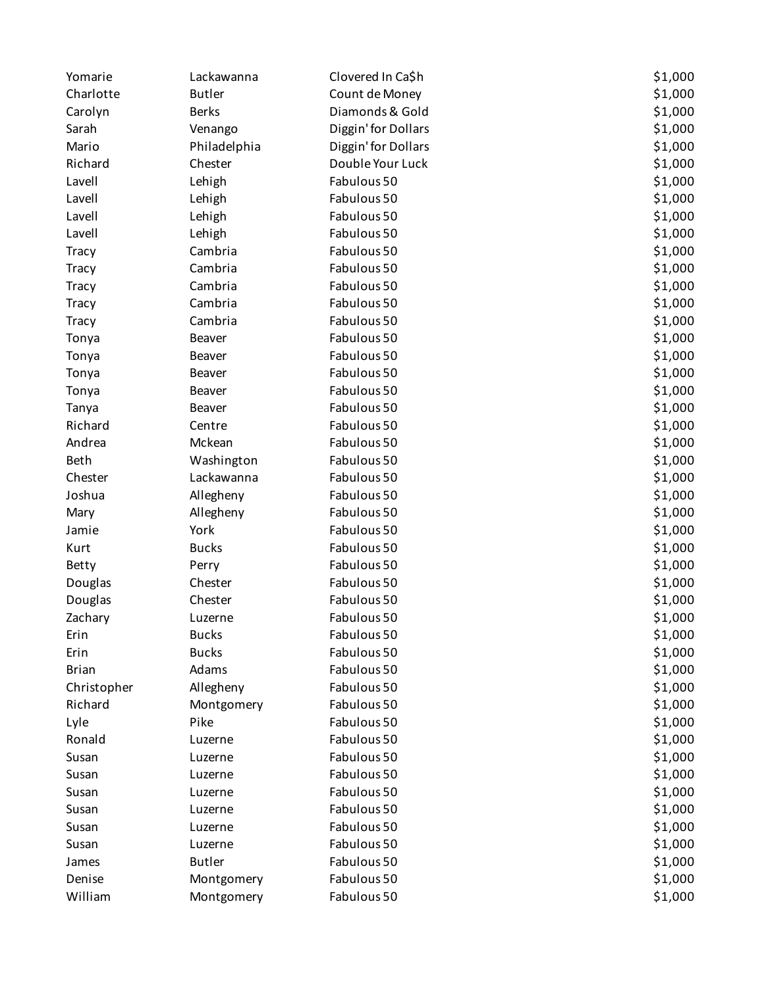| Yomarie      | Lackawanna    | Clovered In Ca\$h   | \$1,000 |
|--------------|---------------|---------------------|---------|
| Charlotte    | <b>Butler</b> | Count de Money      | \$1,000 |
| Carolyn      | <b>Berks</b>  | Diamonds & Gold     | \$1,000 |
| Sarah        | Venango       | Diggin' for Dollars | \$1,000 |
| Mario        | Philadelphia  | Diggin' for Dollars | \$1,000 |
| Richard      | Chester       | Double Your Luck    | \$1,000 |
| Lavell       | Lehigh        | Fabulous 50         | \$1,000 |
| Lavell       | Lehigh        | Fabulous 50         | \$1,000 |
| Lavell       | Lehigh        | Fabulous 50         | \$1,000 |
| Lavell       | Lehigh        | Fabulous 50         | \$1,000 |
| <b>Tracy</b> | Cambria       | Fabulous 50         | \$1,000 |
| <b>Tracy</b> | Cambria       | Fabulous 50         | \$1,000 |
| <b>Tracy</b> | Cambria       | Fabulous 50         | \$1,000 |
| <b>Tracy</b> | Cambria       | Fabulous 50         | \$1,000 |
| <b>Tracy</b> | Cambria       | Fabulous 50         | \$1,000 |
| Tonya        | Beaver        | Fabulous 50         | \$1,000 |
| Tonya        | Beaver        | Fabulous 50         | \$1,000 |
| Tonya        | <b>Beaver</b> | Fabulous 50         | \$1,000 |
| Tonya        | <b>Beaver</b> | Fabulous 50         | \$1,000 |
| Tanya        | Beaver        | Fabulous 50         | \$1,000 |
| Richard      | Centre        | Fabulous 50         | \$1,000 |
| Andrea       | Mckean        | Fabulous 50         | \$1,000 |
| <b>Beth</b>  | Washington    | Fabulous 50         | \$1,000 |
| Chester      | Lackawanna    | Fabulous 50         | \$1,000 |
| Joshua       | Allegheny     | Fabulous 50         | \$1,000 |
| Mary         | Allegheny     | Fabulous 50         | \$1,000 |
| Jamie        | York          | Fabulous 50         | \$1,000 |
|              | <b>Bucks</b>  | Fabulous 50         | \$1,000 |
| Kurt         |               | Fabulous 50         |         |
| Betty        | Perry         |                     | \$1,000 |
| Douglas      | Chester       | Fabulous 50         | \$1,000 |
| Douglas      | Chester       | Fabulous 50         | \$1,000 |
| Zachary      | Luzerne       | Fabulous 50         | \$1,000 |
| Erin         | <b>Bucks</b>  | Fabulous 50         | \$1,000 |
| Erin         | <b>Bucks</b>  | Fabulous 50         | \$1,000 |
| <b>Brian</b> | Adams         | Fabulous 50         | \$1,000 |
| Christopher  | Allegheny     | Fabulous 50         | \$1,000 |
| Richard      | Montgomery    | Fabulous 50         | \$1,000 |
| Lyle         | Pike          | Fabulous 50         | \$1,000 |
| Ronald       | Luzerne       | Fabulous 50         | \$1,000 |
| Susan        | Luzerne       | Fabulous 50         | \$1,000 |
| Susan        | Luzerne       | Fabulous 50         | \$1,000 |
| Susan        | Luzerne       | Fabulous 50         | \$1,000 |
| Susan        | Luzerne       | Fabulous 50         | \$1,000 |
| Susan        | Luzerne       | Fabulous 50         | \$1,000 |
| Susan        | Luzerne       | Fabulous 50         | \$1,000 |
| James        | <b>Butler</b> | Fabulous 50         | \$1,000 |
| Denise       | Montgomery    | Fabulous 50         | \$1,000 |
| William      | Montgomery    | Fabulous 50         | \$1,000 |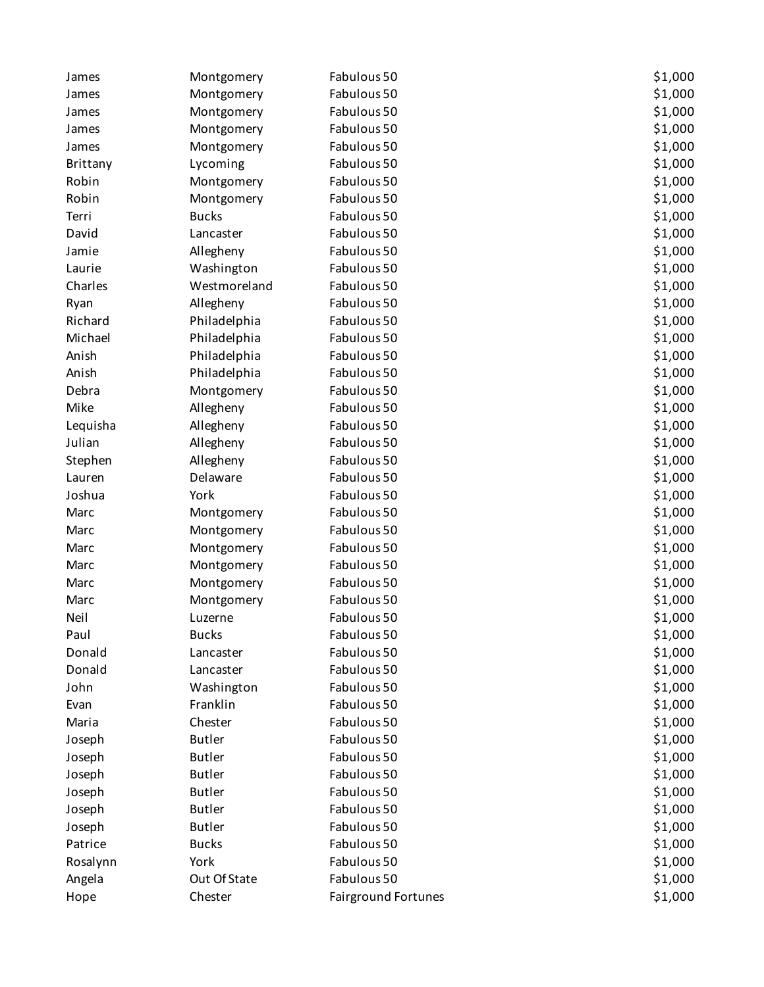| James    | Montgomery    | Fabulous 50         | \$1,000 |
|----------|---------------|---------------------|---------|
| James    | Montgomery    | Fabulous 50         | \$1,000 |
| James    | Montgomery    | Fabulous 50         | \$1,000 |
| James    | Montgomery    | Fabulous 50         | \$1,000 |
| James    | Montgomery    | Fabulous 50         | \$1,000 |
| Brittany | Lycoming      | Fabulous 50         | \$1,000 |
| Robin    | Montgomery    | Fabulous 50         | \$1,000 |
| Robin    | Montgomery    | Fabulous 50         | \$1,000 |
| Terri    | <b>Bucks</b>  | Fabulous 50         | \$1,000 |
| David    | Lancaster     | Fabulous 50         | \$1,000 |
| Jamie    | Allegheny     | Fabulous 50         | \$1,000 |
| Laurie   | Washington    | Fabulous 50         | \$1,000 |
| Charles  | Westmoreland  | Fabulous 50         | \$1,000 |
| Ryan     | Allegheny     | Fabulous 50         | \$1,000 |
| Richard  | Philadelphia  | Fabulous 50         | \$1,000 |
| Michael  | Philadelphia  | Fabulous 50         | \$1,000 |
| Anish    | Philadelphia  | Fabulous 50         | \$1,000 |
| Anish    | Philadelphia  | Fabulous 50         | \$1,000 |
| Debra    | Montgomery    | Fabulous 50         | \$1,000 |
| Mike     | Allegheny     | Fabulous 50         | \$1,000 |
| Lequisha | Allegheny     | Fabulous 50         | \$1,000 |
| Julian   | Allegheny     | Fabulous 50         | \$1,000 |
| Stephen  | Allegheny     | Fabulous 50         | \$1,000 |
| Lauren   | Delaware      | Fabulous 50         | \$1,000 |
| Joshua   | York          | Fabulous 50         | \$1,000 |
| Marc     | Montgomery    | Fabulous 50         | \$1,000 |
| Marc     | Montgomery    | Fabulous 50         | \$1,000 |
| Marc     | Montgomery    | Fabulous 50         | \$1,000 |
| Marc     | Montgomery    | Fabulous 50         | \$1,000 |
| Marc     | Montgomery    | Fabulous 50         | \$1,000 |
| Marc     | Montgomery    | Fabulous 50         | \$1,000 |
| Neil     | Luzerne       | Fabulous 50         | \$1,000 |
| Paul     | <b>Bucks</b>  | Fabulous 50         | \$1,000 |
| Donald   | Lancaster     | Fabulous 50         | \$1,000 |
| Donald   | Lancaster     | Fabulous 50         | \$1,000 |
| John     | Washington    | Fabulous 50         | \$1,000 |
| Evan     | Franklin      | Fabulous 50         | \$1,000 |
| Maria    | Chester       | Fabulous 50         | \$1,000 |
| Joseph   | <b>Butler</b> | Fabulous 50         | \$1,000 |
| Joseph   | <b>Butler</b> | Fabulous 50         | \$1,000 |
| Joseph   | <b>Butler</b> | Fabulous 50         | \$1,000 |
| Joseph   | <b>Butler</b> | Fabulous 50         | \$1,000 |
| Joseph   | <b>Butler</b> | Fabulous 50         | \$1,000 |
| Joseph   | <b>Butler</b> | Fabulous 50         | \$1,000 |
| Patrice  | <b>Bucks</b>  | Fabulous 50         | \$1,000 |
| Rosalynn | York          | Fabulous 50         | \$1,000 |
| Angela   | Out Of State  | Fabulous 50         | \$1,000 |
| Hope     | Chester       | Fairground Fortunes | \$1,000 |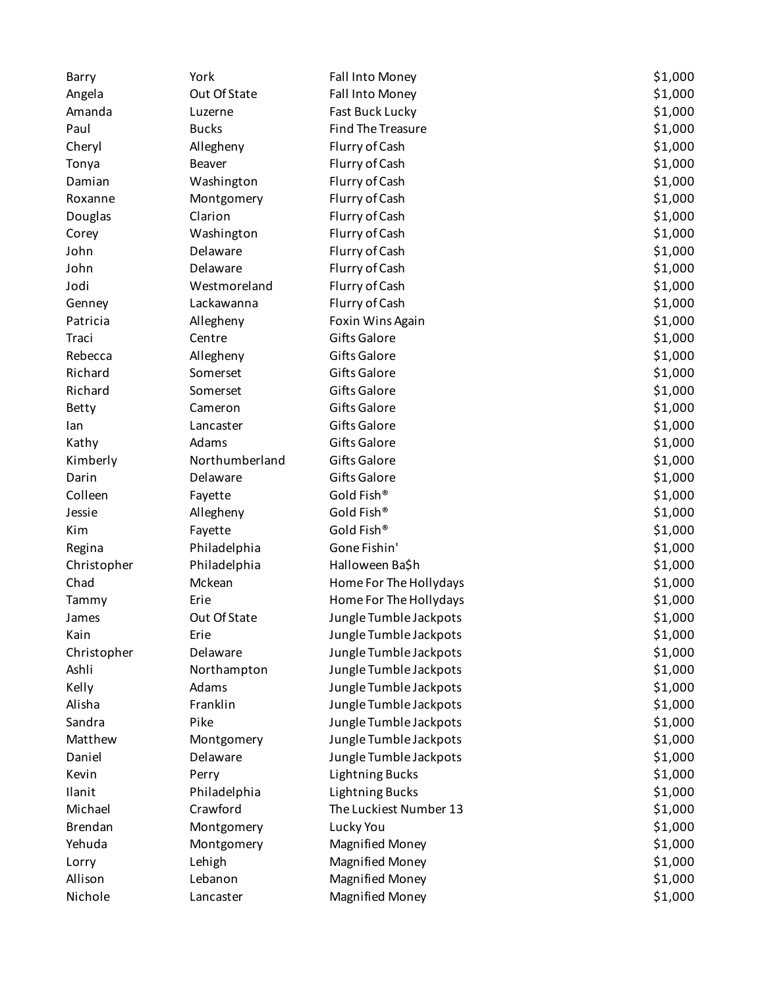| Barry          | York           | Fall Into Money          | \$1,000 |
|----------------|----------------|--------------------------|---------|
| Angela         | Out Of State   | Fall Into Money          | \$1,000 |
| Amanda         | Luzerne        | Fast Buck Lucky          | \$1,000 |
| Paul           | <b>Bucks</b>   | <b>Find The Treasure</b> | \$1,000 |
| Cheryl         | Allegheny      | Flurry of Cash           | \$1,000 |
| Tonya          | <b>Beaver</b>  | Flurry of Cash           | \$1,000 |
| Damian         | Washington     | Flurry of Cash           | \$1,000 |
| Roxanne        | Montgomery     | Flurry of Cash           | \$1,000 |
| Douglas        | Clarion        | Flurry of Cash           | \$1,000 |
| Corey          | Washington     | Flurry of Cash           | \$1,000 |
| John           | Delaware       | Flurry of Cash           | \$1,000 |
| John           | Delaware       | Flurry of Cash           | \$1,000 |
| Jodi           | Westmoreland   | Flurry of Cash           | \$1,000 |
| Genney         | Lackawanna     | Flurry of Cash           | \$1,000 |
| Patricia       | Allegheny      | Foxin Wins Again         | \$1,000 |
| Traci          | Centre         | <b>Gifts Galore</b>      | \$1,000 |
| Rebecca        | Allegheny      | Gifts Galore             | \$1,000 |
| Richard        | Somerset       | Gifts Galore             | \$1,000 |
| Richard        | Somerset       | Gifts Galore             | \$1,000 |
| Betty          | Cameron        | <b>Gifts Galore</b>      | \$1,000 |
| lan            | Lancaster      | <b>Gifts Galore</b>      | \$1,000 |
| Kathy          | Adams          | <b>Gifts Galore</b>      | \$1,000 |
| Kimberly       | Northumberland | Gifts Galore             | \$1,000 |
| Darin          | Delaware       | <b>Gifts Galore</b>      | \$1,000 |
| Colleen        | Fayette        | Gold Fish®               | \$1,000 |
| Jessie         | Allegheny      | Gold Fish®               | \$1,000 |
| Kim            | Fayette        | Gold Fish®               | \$1,000 |
| Regina         | Philadelphia   | Gone Fishin'             | \$1,000 |
| Christopher    | Philadelphia   | Halloween Ba\$h          | \$1,000 |
| Chad           | Mckean         | Home For The Hollydays   | \$1,000 |
| Tammy          | Erie           | Home For The Hollydays   | \$1,000 |
| James          | Out Of State   | Jungle Tumble Jackpots   | \$1,000 |
| Kain           | Erie           | Jungle Tumble Jackpots   | \$1,000 |
| Christopher    | Delaware       | Jungle Tumble Jackpots   | \$1,000 |
| Ashli          | Northampton    | Jungle Tumble Jackpots   | \$1,000 |
| Kelly          | Adams          | Jungle Tumble Jackpots   | \$1,000 |
| Alisha         | Franklin       | Jungle Tumble Jackpots   | \$1,000 |
| Sandra         | Pike           | Jungle Tumble Jackpots   | \$1,000 |
| Matthew        | Montgomery     | Jungle Tumble Jackpots   | \$1,000 |
| Daniel         | Delaware       | Jungle Tumble Jackpots   | \$1,000 |
| Kevin          | Perry          | <b>Lightning Bucks</b>   | \$1,000 |
| Ilanit         | Philadelphia   | <b>Lightning Bucks</b>   | \$1,000 |
| Michael        | Crawford       | The Luckiest Number 13   | \$1,000 |
| <b>Brendan</b> | Montgomery     | Lucky You                | \$1,000 |
| Yehuda         | Montgomery     | <b>Magnified Money</b>   | \$1,000 |
| Lorry          | Lehigh         | <b>Magnified Money</b>   | \$1,000 |
| Allison        | Lebanon        | <b>Magnified Money</b>   | \$1,000 |
| Nichole        | Lancaster      | <b>Magnified Money</b>   | \$1,000 |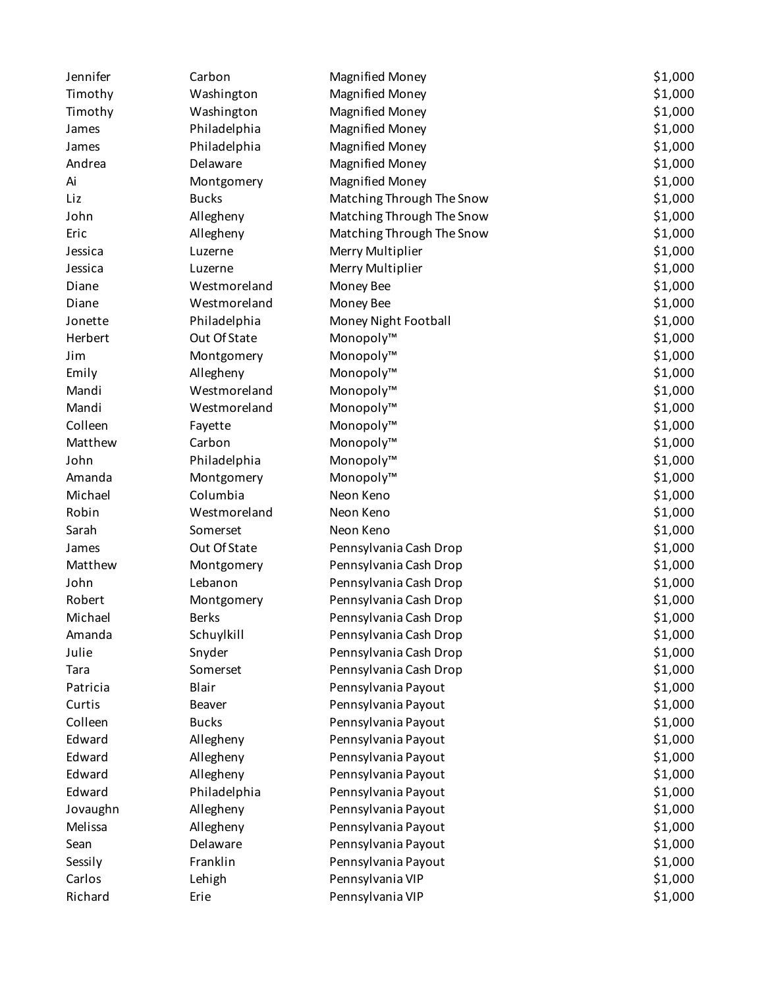| Jennifer | Carbon       | <b>Magnified Money</b>    | \$1,000 |
|----------|--------------|---------------------------|---------|
| Timothy  | Washington   | <b>Magnified Money</b>    | \$1,000 |
| Timothy  | Washington   | <b>Magnified Money</b>    | \$1,000 |
| James    | Philadelphia | <b>Magnified Money</b>    | \$1,000 |
| James    | Philadelphia | <b>Magnified Money</b>    | \$1,000 |
| Andrea   | Delaware     | <b>Magnified Money</b>    | \$1,000 |
| Ai       | Montgomery   | <b>Magnified Money</b>    | \$1,000 |
| Liz      | <b>Bucks</b> | Matching Through The Snow | \$1,000 |
| John     | Allegheny    | Matching Through The Snow | \$1,000 |
| Eric     | Allegheny    | Matching Through The Snow | \$1,000 |
| Jessica  | Luzerne      | Merry Multiplier          | \$1,000 |
| Jessica  | Luzerne      | Merry Multiplier          | \$1,000 |
| Diane    | Westmoreland | Money Bee                 | \$1,000 |
| Diane    | Westmoreland | Money Bee                 | \$1,000 |
| Jonette  | Philadelphia | Money Night Football      | \$1,000 |
| Herbert  | Out Of State | Monopoly™                 | \$1,000 |
| Jim      | Montgomery   | Monopoly™                 | \$1,000 |
| Emily    | Allegheny    | Monopoly™                 | \$1,000 |
| Mandi    | Westmoreland | Monopoly™                 | \$1,000 |
| Mandi    | Westmoreland | Monopoly™                 | \$1,000 |
| Colleen  | Fayette      | Monopoly™                 | \$1,000 |
| Matthew  | Carbon       | Monopoly™                 | \$1,000 |
| John     | Philadelphia | Monopoly™                 | \$1,000 |
| Amanda   | Montgomery   | Monopoly™                 | \$1,000 |
| Michael  | Columbia     | Neon Keno                 | \$1,000 |
| Robin    | Westmoreland | Neon Keno                 | \$1,000 |
| Sarah    | Somerset     | Neon Keno                 | \$1,000 |
| James    | Out Of State | Pennsylvania Cash Drop    | \$1,000 |
| Matthew  | Montgomery   | Pennsylvania Cash Drop    | \$1,000 |
| John     | Lebanon      | Pennsylvania Cash Drop    | \$1,000 |
| Robert   | Montgomery   | Pennsylvania Cash Drop    | \$1,000 |
| Michael  | <b>Berks</b> | Pennsylvania Cash Drop    | \$1,000 |
| Amanda   | Schuylkill   | Pennsylvania Cash Drop    | \$1,000 |
| Julie    | Snyder       | Pennsylvania Cash Drop    | \$1,000 |
| Tara     | Somerset     | Pennsylvania Cash Drop    | \$1,000 |
| Patricia | Blair        | Pennsylvania Payout       | \$1,000 |
| Curtis   | Beaver       | Pennsylvania Payout       | \$1,000 |
| Colleen  | <b>Bucks</b> | Pennsylvania Payout       | \$1,000 |
| Edward   | Allegheny    | Pennsylvania Payout       | \$1,000 |
| Edward   | Allegheny    | Pennsylvania Payout       | \$1,000 |
| Edward   | Allegheny    | Pennsylvania Payout       | \$1,000 |
| Edward   | Philadelphia | Pennsylvania Payout       | \$1,000 |
| Jovaughn | Allegheny    | Pennsylvania Payout       | \$1,000 |
| Melissa  | Allegheny    | Pennsylvania Payout       | \$1,000 |
| Sean     | Delaware     | Pennsylvania Payout       | \$1,000 |
| Sessily  | Franklin     | Pennsylvania Payout       | \$1,000 |
| Carlos   | Lehigh       | Pennsylvania VIP          | \$1,000 |
| Richard  | Erie         | Pennsylvania VIP          | \$1,000 |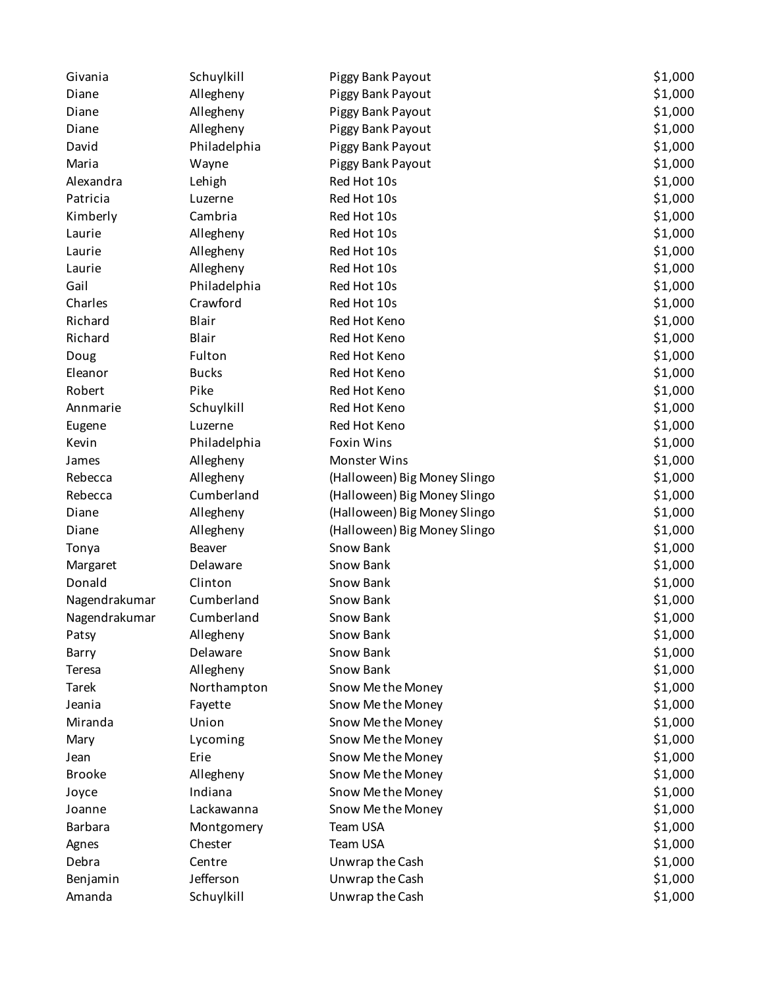| Givania        | Schuylkill    | Piggy Bank Payout            | \$1,000 |
|----------------|---------------|------------------------------|---------|
| Diane          | Allegheny     | Piggy Bank Payout            | \$1,000 |
| Diane          | Allegheny     | Piggy Bank Payout            | \$1,000 |
| Diane          | Allegheny     | Piggy Bank Payout            | \$1,000 |
| David          | Philadelphia  | Piggy Bank Payout            | \$1,000 |
| Maria          | Wayne         | Piggy Bank Payout            | \$1,000 |
| Alexandra      | Lehigh        | Red Hot 10s                  | \$1,000 |
| Patricia       | Luzerne       | Red Hot 10s                  | \$1,000 |
| Kimberly       | Cambria       | Red Hot 10s                  | \$1,000 |
| Laurie         | Allegheny     | Red Hot 10s                  | \$1,000 |
| Laurie         | Allegheny     | Red Hot 10s                  | \$1,000 |
| Laurie         | Allegheny     | Red Hot 10s                  | \$1,000 |
| Gail           | Philadelphia  | Red Hot 10s                  | \$1,000 |
| Charles        | Crawford      | Red Hot 10s                  | \$1,000 |
| Richard        | Blair         | Red Hot Keno                 | \$1,000 |
| Richard        | Blair         | Red Hot Keno                 | \$1,000 |
| Doug           | Fulton        | Red Hot Keno                 | \$1,000 |
| Eleanor        | <b>Bucks</b>  | Red Hot Keno                 | \$1,000 |
| Robert         | Pike          | Red Hot Keno                 | \$1,000 |
| Annmarie       | Schuylkill    | Red Hot Keno                 | \$1,000 |
| Eugene         | Luzerne       | Red Hot Keno                 | \$1,000 |
| Kevin          | Philadelphia  | <b>Foxin Wins</b>            | \$1,000 |
| James          | Allegheny     | Monster Wins                 | \$1,000 |
| Rebecca        | Allegheny     | (Halloween) Big Money Slingo | \$1,000 |
| Rebecca        | Cumberland    | (Halloween) Big Money Slingo | \$1,000 |
| Diane          | Allegheny     | (Halloween) Big Money Slingo | \$1,000 |
| Diane          | Allegheny     | (Halloween) Big Money Slingo | \$1,000 |
| Tonya          | <b>Beaver</b> | Snow Bank                    | \$1,000 |
| Margaret       | Delaware      | Snow Bank                    | \$1,000 |
| Donald         | Clinton       | Snow Bank                    | \$1,000 |
| Nagendrakumar  | Cumberland    | Snow Bank                    | \$1,000 |
| Nagendrakumar  | Cumberland    | Snow Bank                    | \$1,000 |
| Patsy          | Allegheny     | Snow Bank                    | \$1,000 |
| Barry          | Delaware      | Snow Bank                    | \$1,000 |
| Teresa         | Allegheny     | Snow Bank                    | \$1,000 |
| <b>Tarek</b>   | Northampton   | Snow Methe Money             | \$1,000 |
| Jeania         | Fayette       | Snow Methe Money             | \$1,000 |
| Miranda        | Union         | Snow Methe Money             | \$1,000 |
| Mary           | Lycoming      | Snow Methe Money             | \$1,000 |
| Jean           | Erie          | Snow Methe Money             | \$1,000 |
| <b>Brooke</b>  | Allegheny     | Snow Methe Money             | \$1,000 |
| Joyce          | Indiana       | Snow Methe Money             | \$1,000 |
| Joanne         | Lackawanna    | Snow Methe Money             | \$1,000 |
| <b>Barbara</b> | Montgomery    | Team USA                     | \$1,000 |
| Agnes          | Chester       | Team USA                     | \$1,000 |
| Debra          | Centre        | Unwrap the Cash              | \$1,000 |
| Benjamin       | Jefferson     | Unwrap the Cash              | \$1,000 |
| Amanda         | Schuylkill    | Unwrap the Cash              | \$1,000 |